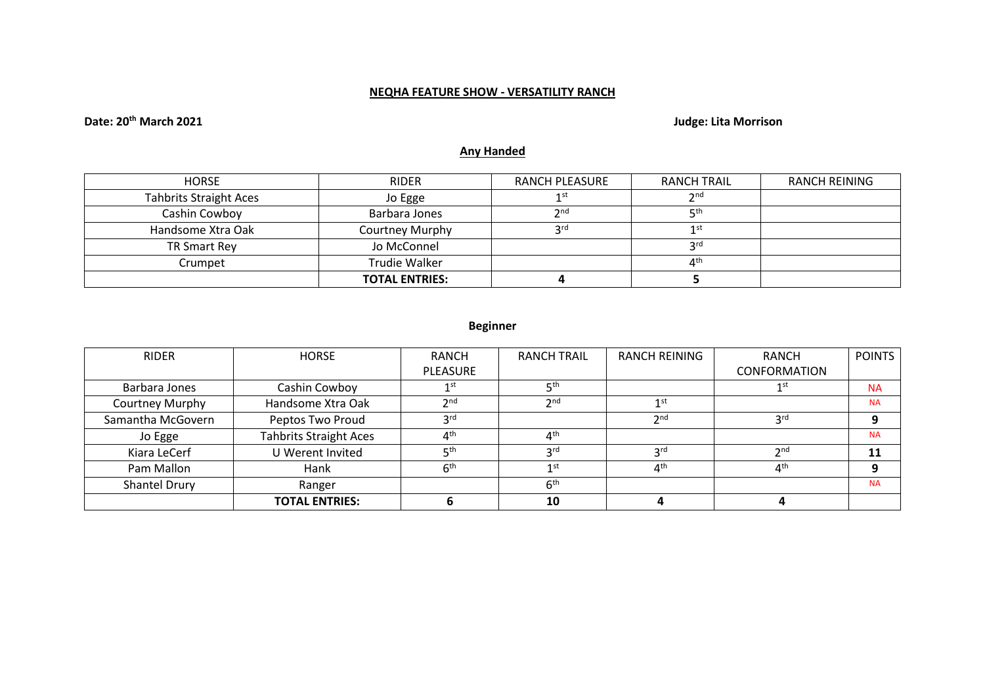## **NEQHA FEATURE SHOW - VERSATILITY RANCH**

# **Date: 20th March 2021 Judge: Lita Morrison**

# **Any Handed**

| <b>HORSE</b>                  | <b>RIDER</b>          | RANCH PLEASURE  | RANCH TRAIL     | <b>RANCH REINING</b> |
|-------------------------------|-----------------------|-----------------|-----------------|----------------------|
| <b>Tahbrits Straight Aces</b> | Jo Egge               | 1st             | 2 <sub>nd</sub> |                      |
| Cashin Cowboy                 | Barbara Jones         | 2 <sub>nd</sub> | <b>қth</b>      |                      |
| Handsome Xtra Oak             | Courtney Murphy       | <b>2rd</b>      | 1st             |                      |
| TR Smart Rey                  | Jo McConnel           |                 | <b>3rd</b>      |                      |
| Crumpet                       | Trudie Walker         |                 | 4 <sup>th</sup> |                      |
|                               | <b>TOTAL ENTRIES:</b> |                 |                 |                      |

## **Beginner**

| <b>RIDER</b>      | <b>HORSE</b>                  | <b>RANCH</b>            | <b>RANCH TRAIL</b>             | <b>RANCH REINING</b> | <b>RANCH</b>        | <b>POINTS</b> |
|-------------------|-------------------------------|-------------------------|--------------------------------|----------------------|---------------------|---------------|
|                   |                               | <b>PLEASURE</b>         |                                |                      | <b>CONFORMATION</b> |               |
| Barbara Jones     | Cashin Cowboy                 | 1st                     | ςth                            |                      | 1st                 | <b>NA</b>     |
| Courtney Murphy   | Handsome Xtra Oak             | 2 <sub>nd</sub>         | 2 <sub>nd</sub>                | 1st                  |                     | <b>NA</b>     |
| Samantha McGovern | Peptos Two Proud              | 3 <sup>rd</sup>         |                                | 2 <sub>nd</sub>      | 3 <sup>rd</sup>     |               |
| Jo Egge           | <b>Tahbrits Straight Aces</b> | $\Lambda$ <sup>th</sup> | $\mathbf{\Lambda}^{\text{th}}$ |                      |                     | <b>NA</b>     |
| Kiara LeCerf      | U Werent Invited              | ις th                   | <b>3rd</b>                     | 3 <sup>rd</sup>      | 2 <sub>nd</sub>     |               |
| Pam Mallon        | Hank                          | 6 <sup>th</sup>         | 1st                            | 4 <sup>th</sup>      | $4^{\text{th}}$     |               |
| Shantel Drury     | Ranger                        |                         | 6 <sup>th</sup>                |                      |                     | <b>NA</b>     |
|                   | <b>TOTAL ENTRIES:</b>         |                         | 10                             |                      |                     |               |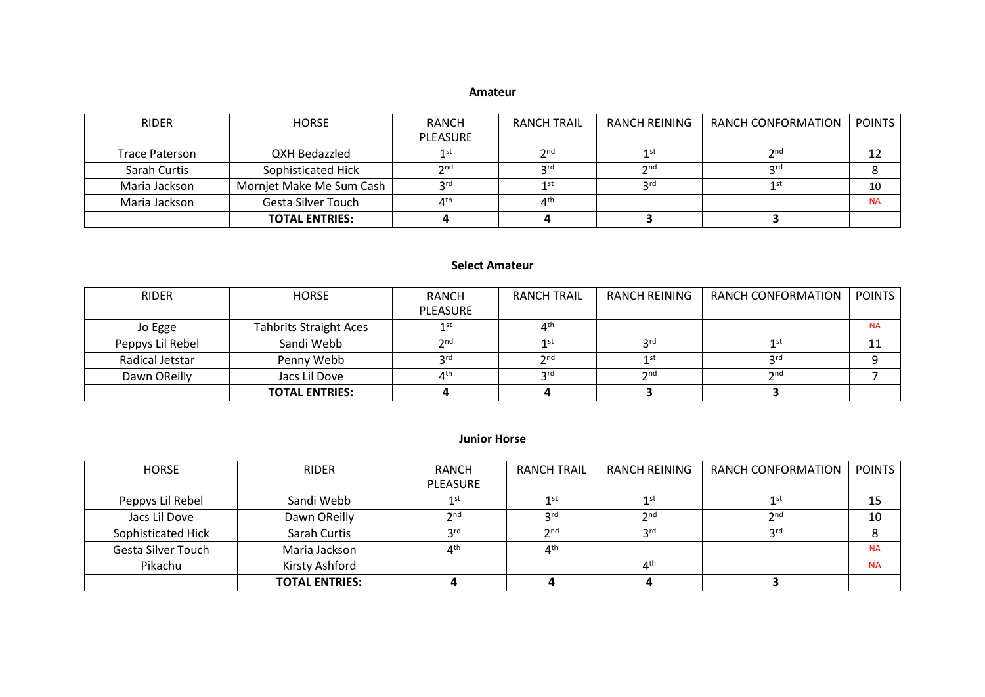#### **Amateur**

| <b>RIDER</b>          | <b>HORSE</b>              | RANCH                                                                                                             | <b>RANCH TRAIL</b> | RANCH REINING   | RANCH CONFORMATION | <b>POINTS</b> |
|-----------------------|---------------------------|-------------------------------------------------------------------------------------------------------------------|--------------------|-----------------|--------------------|---------------|
|                       |                           | PLEASURE                                                                                                          |                    |                 |                    |               |
| <b>Trace Paterson</b> | QXH Bedazzled             | 1 st                                                                                                              | 2nd                | 1st             | 2 <sub>nd</sub>    |               |
| Sarah Curtis          | Sophisticated Hick        | $\mathsf{\small \mathsf{\small \mathsf{\small \mathsf{\small \mathsf{\small \mathsf{\small \mathsf{\tiny{}}}}}}}$ | 2rd                | 2 <sub>nd</sub> | 2rd                |               |
| Maria Jackson         | Mornjet Make Me Sum Cash  | 2rd                                                                                                               | 1 <sup>st</sup>    | <b>2rd</b>      | 1st                | 10            |
| Maria Jackson         | <b>Gesta Silver Touch</b> | ⊿th                                                                                                               | ⊿th                |                 |                    | <b>NA</b>     |
|                       | <b>TOTAL ENTRIES:</b>     |                                                                                                                   |                    |                 |                    |               |

## **Select Amateur**

| <b>RIDER</b>     | <b>HORSE</b>                  | RANCH                | RANCH TRAIL                   | RANCH REINING   | RANCH CONFORMATION | <b>POINTS</b> |
|------------------|-------------------------------|----------------------|-------------------------------|-----------------|--------------------|---------------|
|                  |                               | <b>PLEASURE</b>      |                               |                 |                    |               |
| Jo Egge          | <b>Tahbrits Straight Aces</b> | 1 <sub>st</sub>      | $\mathbf{\Delta}^{\text{th}}$ |                 |                    | <b>NA</b>     |
| Peppys Lil Rebel | Sandi Webb                    | $\mathsf{\gamma}$ nd | 1st                           | 2rd             | 1 S I              |               |
| Radical Jetstar  | Penny Webb                    | ord                  | 2 <sub>nd</sub>               | 1st             | 2rd                |               |
| Dawn OReilly     | Jacs Lil Dove                 | $\Lambda$ th         | 2rd                           | 2 <sub>nd</sub> | 2 <sub>nd</sub>    |               |
|                  | <b>TOTAL ENTRIES:</b>         |                      |                               |                 |                    |               |

### **Junior Horse**

| HORSE              | <b>RIDER</b>          | RANCH           | <b>RANCH TRAIL</b>                                                                                 | RANCH REINING                  | RANCH CONFORMATION | POINTS    |
|--------------------|-----------------------|-----------------|----------------------------------------------------------------------------------------------------|--------------------------------|--------------------|-----------|
|                    |                       | PLEASURE        |                                                                                                    |                                |                    |           |
| Peppys Lil Rebel   | Sandi Webb            | 1 st            | 1st                                                                                                | 1st                            | 1st                |           |
| Jacs Lil Dove      | Dawn OReilly          | <b>つnd</b>      | 2rd                                                                                                | 2 <sub>nd</sub>                | 2nd                | 10        |
| Sophisticated Hick | Sarah Curtis          | <b>2rd</b>      | $\mathsf{\small \mathsf{\small \mathsf{\small \mathsf{\small \mathsf{\small \mathsf{\tiny{}}}}}}}$ | <b>ord</b>                     | <b>2rd</b>         |           |
| Gesta Silver Touch | Maria Jackson         | 4 <sup>th</sup> | 4 <sup>th</sup>                                                                                    |                                |                    | <b>NA</b> |
| Pikachu            | Kirsty Ashford        |                 |                                                                                                    | $\mathbf{\Lambda}^{\text{th}}$ |                    | <b>NA</b> |
|                    | <b>TOTAL ENTRIES:</b> |                 |                                                                                                    |                                |                    |           |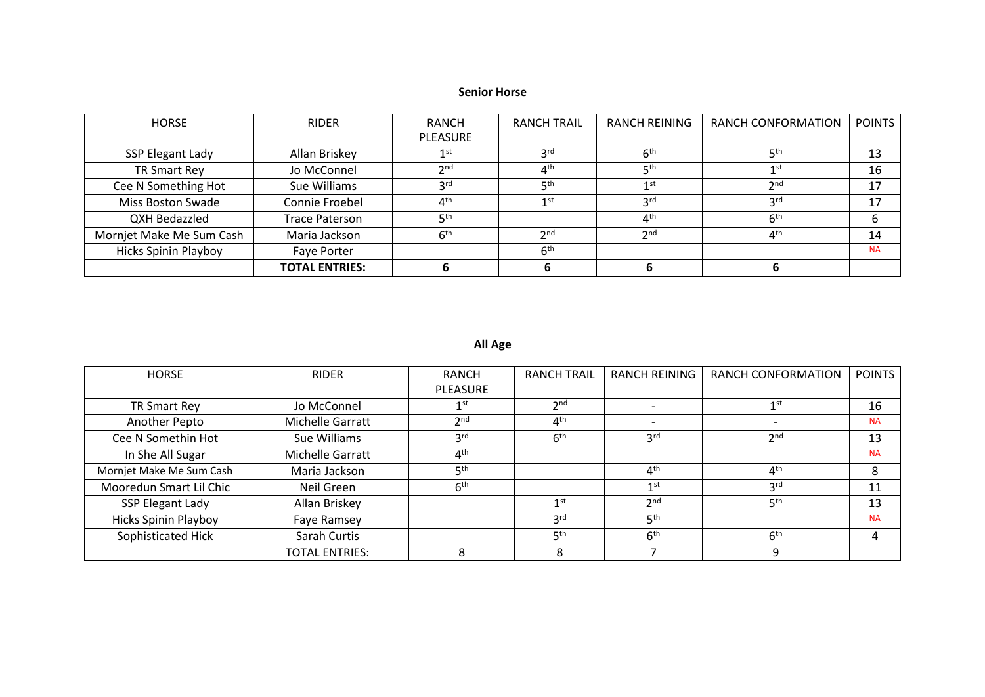## **Senior Horse**

| <b>HORSE</b>                | <b>RIDER</b>          | RANCH                          | <b>RANCH TRAIL</b> | RANCH REINING   | RANCH CONFORMATION | <b>POINTS</b> |
|-----------------------------|-----------------------|--------------------------------|--------------------|-----------------|--------------------|---------------|
|                             |                       | <b>PLEASURE</b>                |                    |                 |                    |               |
| <b>SSP Elegant Lady</b>     | Allan Briskey         | 1 st                           | 3 <sup>rd</sup>    | 6 <sup>th</sup> | 5 <sup>th</sup>    | 13            |
| <b>TR Smart Rey</b>         | Jo McConnel           | 2 <sub>nd</sub>                | 4 <sup>th</sup>    | 5 <sup>th</sup> | 1st                | 16            |
| Cee N Something Hot         | Sue Williams          | <b>2rd</b>                     | 5 <sup>th</sup>    | 1 <sup>st</sup> | 2 <sub>nd</sub>    | 17            |
| Miss Boston Swade           | Connie Froebel        | $\mathbf{\Lambda}^{\text{th}}$ | 1 <sup>st</sup>    | 3 <sup>rd</sup> | 3 <sup>rd</sup>    | 17            |
| QXH Bedazzled               | <b>Trace Paterson</b> | ςth                            |                    | 4 <sup>th</sup> | 6 <sup>th</sup>    |               |
| Mornjet Make Me Sum Cash    | Maria Jackson         | 6 <sup>th</sup>                | 2 <sub>nd</sub>    | 2 <sup>nd</sup> | 4 <sup>th</sup>    | 14            |
| <b>Hicks Spinin Playboy</b> | Faye Porter           |                                | 6 <sup>th</sup>    |                 |                    | <b>NA</b>     |
|                             | <b>TOTAL ENTRIES:</b> |                                | ь                  |                 |                    |               |

## **All Age**

| <b>HORSE</b>                | <b>RIDER</b>          | <b>RANCH</b>    | <b>RANCH TRAIL</b> | <b>RANCH REINING</b> | <b>RANCH CONFORMATION</b> | <b>POINTS</b> |
|-----------------------------|-----------------------|-----------------|--------------------|----------------------|---------------------------|---------------|
|                             |                       | <b>PLEASURE</b> |                    |                      |                           |               |
| TR Smart Rey                | Jo McConnel           | 1 <sup>st</sup> | 2 <sub>nd</sub>    |                      | 1st                       | 16            |
| Another Pepto               | Michelle Garratt      | 2 <sub>nd</sub> | 4 <sup>th</sup>    |                      |                           | <b>NA</b>     |
| Cee N Somethin Hot          | Sue Williams          | 3 <sup>rd</sup> | 6 <sup>th</sup>    | 3 <sup>rd</sup>      | 2nd                       | 13            |
| In She All Sugar            | Michelle Garratt      | 4 <sup>th</sup> |                    |                      |                           | <b>NA</b>     |
| Mornjet Make Me Sum Cash    | Maria Jackson         | 5 <sup>th</sup> |                    | 4 <sup>th</sup>      | 4 <sup>th</sup>           | 8             |
| Mooredun Smart Lil Chic     | Neil Green            | 6 <sup>th</sup> |                    | 1 <sup>st</sup>      | 3 <sup>rd</sup>           | 11            |
| SSP Elegant Lady            | Allan Briskey         |                 | $1$ st             | 2 <sub>nd</sub>      | 5 <sup>th</sup>           | 13            |
| <b>Hicks Spinin Playboy</b> | Faye Ramsey           |                 | 3 <sup>rd</sup>    | 5 <sup>th</sup>      |                           | <b>NA</b>     |
| Sophisticated Hick          | Sarah Curtis          |                 | 5 <sup>th</sup>    | 6 <sup>th</sup>      | 6 <sup>th</sup>           |               |
|                             | <b>TOTAL ENTRIES:</b> | 8               | 8                  |                      |                           |               |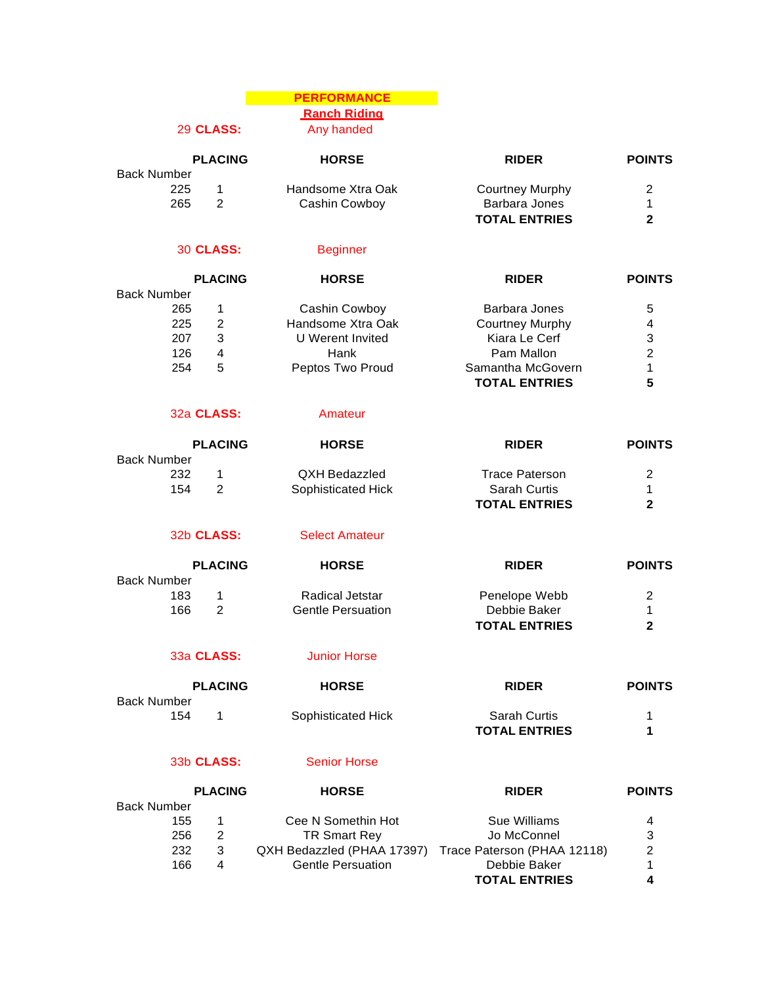### **PERFORMANCE Ranch Riding**

29 **CLASS:** Any handed

|             | <b>PLACING</b> | <b>HORSE</b>      | <b>RIDER</b>         | <b>POINTS</b> |
|-------------|----------------|-------------------|----------------------|---------------|
| Back Number |                |                   |                      |               |
| 225         |                | Handsome Xtra Oak | Courtney Murphy      |               |
| 265         |                | Cashin Cowboy     | Barbara Jones        |               |
|             |                |                   | <b>TOTAL ENTRIES</b> |               |

#### 30 **CLASS:** Beginner

|                    | <b>PLACING</b> | <b>HORSE</b>      | <b>RIDER</b>           | <b>POINTS</b> |
|--------------------|----------------|-------------------|------------------------|---------------|
| <b>Back Number</b> |                |                   |                        |               |
| 265                |                | Cashin Cowboy     | Barbara Jones          | 5             |
| 225                | 2              | Handsome Xtra Oak | <b>Courtney Murphy</b> | 4             |
| 207                | 3              | U Werent Invited  | Kiara Le Cerf          | 3             |
| 126                | 4              | Hank              | Pam Mallon             | $\mathcal{P}$ |
| 254                | 5              | Peptos Two Proud  | Samantha McGovern      | 1             |
|                    |                |                   | <b>TOTAL ENTRIES</b>   | 5             |

#### 32a **CLASS:** Amateur

|             | <b>PLACING</b> | <b>HORSE</b>       | <b>RIDER</b>         | <b>POINTS</b> |
|-------------|----------------|--------------------|----------------------|---------------|
| Back Number |                |                    |                      |               |
| 232         |                | QXH Bedazzled      | Trace Paterson       | 2             |
| 154         |                | Sophisticated Hick | Sarah Curtis         |               |
|             |                |                    | <b>TOTAL ENTRIES</b> | າ             |

32b CLASS: Select Amateur

|             | <b>PLACING</b> | <b>HORSE</b>             | <b>RIDER</b>         | <b>POINTS</b> |
|-------------|----------------|--------------------------|----------------------|---------------|
| Back Number |                |                          |                      |               |
| 183         |                | Radical Jetstar          | Penelope Webb        | 2             |
| 166         |                | <b>Gentle Persuation</b> | Debbie Baker         |               |
|             |                |                          | <b>TOTAL ENTRIES</b> |               |

### 33a **CLASS:** Junior Horse

Back Number

| <b>PLACING</b> | <b>HORSE</b>       | <b>RIDER</b>         | <b>POINTS</b> |
|----------------|--------------------|----------------------|---------------|
|                | Sophisticated Hick | <b>Sarah Curtis</b>  |               |
|                |                    | <b>TOTAL ENTRIES</b> |               |

#### 33b **CLASS:** Senior Horse

154 1

|                    | <b>PLACING</b> | <b>HORSE</b>               | <b>RIDER</b>                | <b>POINTS</b> |
|--------------------|----------------|----------------------------|-----------------------------|---------------|
| <b>Back Number</b> |                |                            |                             |               |
| 155                |                | Cee N Somethin Hot         | Sue Williams                | 4             |
| 256                | 2              | <b>TR Smart Rev</b>        | Jo McConnel                 | 3             |
| 232                | 3              | QXH Bedazzled (PHAA 17397) | Trace Paterson (PHAA 12118) | 2             |
| 166                | 4              | <b>Gentle Persuation</b>   | Debbie Baker                | 1.            |
|                    |                |                            | <b>TOTAL ENTRIES</b>        | 4             |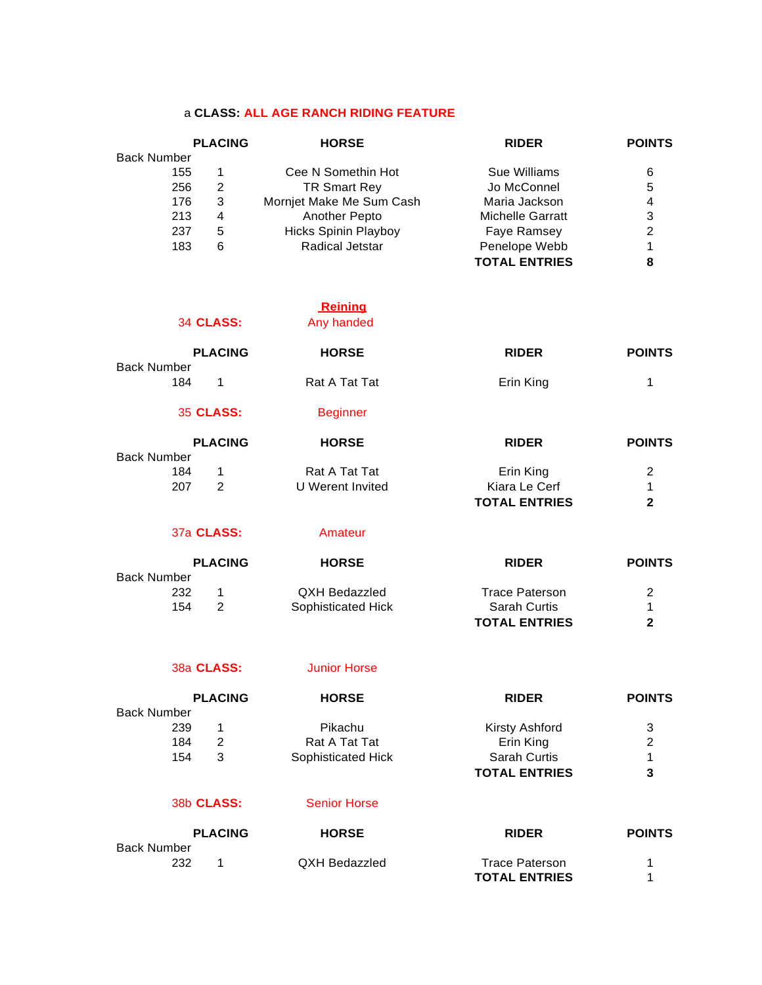#### a **CLASS: ALL AGE RANCH RIDING FEATURE**

|                    | <b>PLACING</b> | <b>HORSE</b>                | <b>RIDER</b>         | <b>POINTS</b> |
|--------------------|----------------|-----------------------------|----------------------|---------------|
| <b>Back Number</b> |                |                             |                      |               |
| 155                |                | Cee N Somethin Hot          | Sue Williams         | 6             |
| 256                | 2              | <b>TR Smart Rey</b>         | Jo McConnel          | 5             |
| 176                | 3              | Mornjet Make Me Sum Cash    | Maria Jackson        | 4             |
| 213                | 4              | <b>Another Pepto</b>        | Michelle Garratt     | 3             |
| 237                | 5              | <b>Hicks Spinin Playboy</b> | Faye Ramsey          | 2             |
| 183                | 6              | <b>Radical Jetstar</b>      | Penelope Webb        | 1             |
|                    |                |                             | <b>TOTAL ENTRIES</b> | 8             |

# **Reining**

34 **CLASS:** Any handed

|                    | <b>PLACING</b><br><b>HORSE</b> |  |                  | <b>RIDER</b>         | <b>POINTS</b> |
|--------------------|--------------------------------|--|------------------|----------------------|---------------|
| <b>Back Number</b> |                                |  |                  |                      |               |
|                    | 184<br>1                       |  | Rat A Tat Tat    | Erin King            | 1             |
|                    | <b>35 CLASS:</b>               |  | <b>Beginner</b>  |                      |               |
|                    | <b>PLACING</b>                 |  | <b>HORSE</b>     | <b>RIDER</b>         | <b>POINTS</b> |
| <b>Back Number</b> |                                |  |                  |                      |               |
|                    | 184<br>1                       |  | Rat A Tat Tat    | Erin King            | 2             |
|                    | 207<br>2                       |  | U Werent Invited | Kiara Le Cerf        | 1             |
|                    |                                |  |                  | <b>TOTAL ENTRIES</b> | $\mathbf{2}$  |
|                    | 37a CLASS:                     |  | Amateur          |                      |               |

|                    | <b>PLACING</b> | <b>HORSE</b><br><b>RIDER</b> |                      | <b>POINTS</b> |
|--------------------|----------------|------------------------------|----------------------|---------------|
| <b>Back Number</b> |                |                              |                      |               |
| 232                |                | QXH Bedazzled                | Trace Paterson       | 2             |
| 154                |                | Sophisticated Hick           | <b>Sarah Curtis</b>  |               |
|                    |                |                              | <b>TOTAL ENTRIES</b> | າ             |

#### 38a **CLASS:** Junior Horse

|                    |   | <b>HORSE</b>                 | <b>RIDER</b>         | <b>POINTS</b> |
|--------------------|---|------------------------------|----------------------|---------------|
| <b>Back Number</b> |   |                              |                      |               |
| 239                |   | Pikachu                      | Kirsty Ashford       | 3             |
| 184                | 2 | Rat A Tat Tat                | Erin King            | 2             |
| 154                | 3 | Sophisticated Hick           | <b>Sarah Curtis</b>  | 1             |
|                    |   |                              | <b>TOTAL ENTRIES</b> | 3             |
|                    |   | <b>Senior Horse</b>          |                      |               |
|                    |   | <b>PLACING</b><br>38b CLASS: |                      |               |

|             | <b>PLACING</b> | <b>HORSE</b>  | <b>RIDER</b>         | <b>POINTS</b> |
|-------------|----------------|---------------|----------------------|---------------|
| Back Number |                |               |                      |               |
| 232         |                | QXH Bedazzled | Trace Paterson       |               |
|             |                |               | <b>TOTAL ENTRIES</b> |               |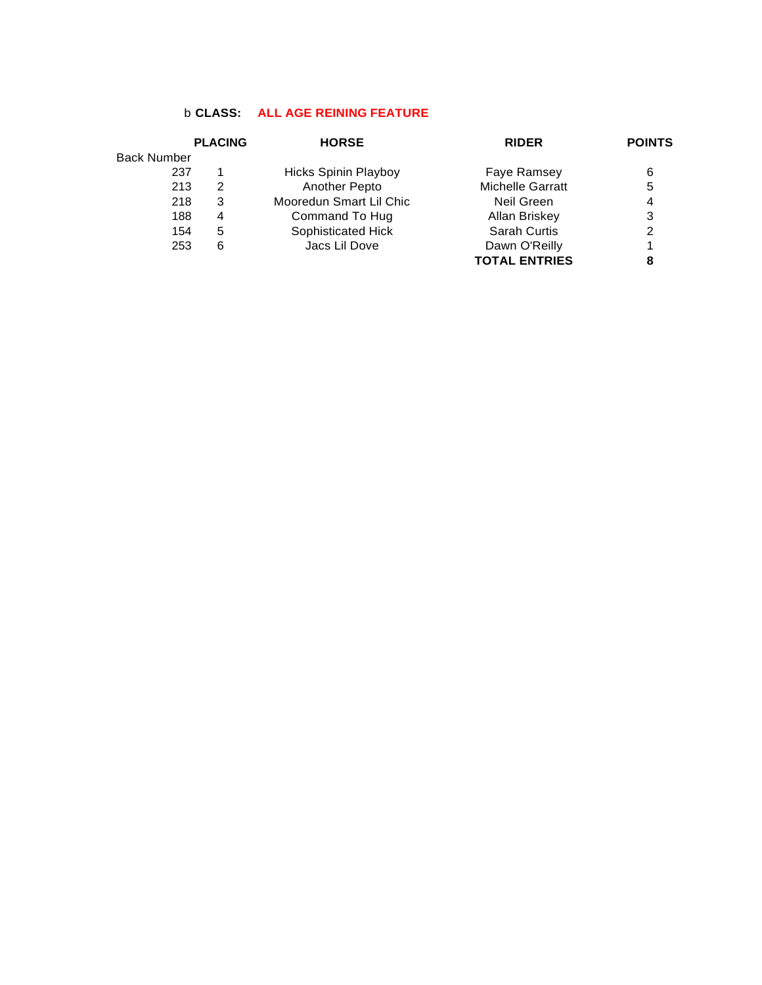## b **CLASS: ALL AGE REINING FEATURE**

|                    | <b>PLACING</b> | <b>HORSE</b>                | <b>RIDER</b>            | <b>POINTS</b> |
|--------------------|----------------|-----------------------------|-------------------------|---------------|
| <b>Back Number</b> |                |                             |                         |               |
| 237                |                | <b>Hicks Spinin Playboy</b> | Faye Ramsey             | 6             |
| 213                | 2              | Another Pepto               | <b>Michelle Garratt</b> | 5             |
| 218                | 3              | Mooredun Smart Lil Chic     | Neil Green              | 4             |
| 188                | 4              | Command To Hug              | Allan Briskey           | 3             |
| 154                | 5              | Sophisticated Hick          | <b>Sarah Curtis</b>     | 2             |
| 253                | 6              | Jacs Lil Dove               | Dawn O'Reilly           |               |
|                    |                |                             | <b>TOTAL ENTRIES</b>    | 8             |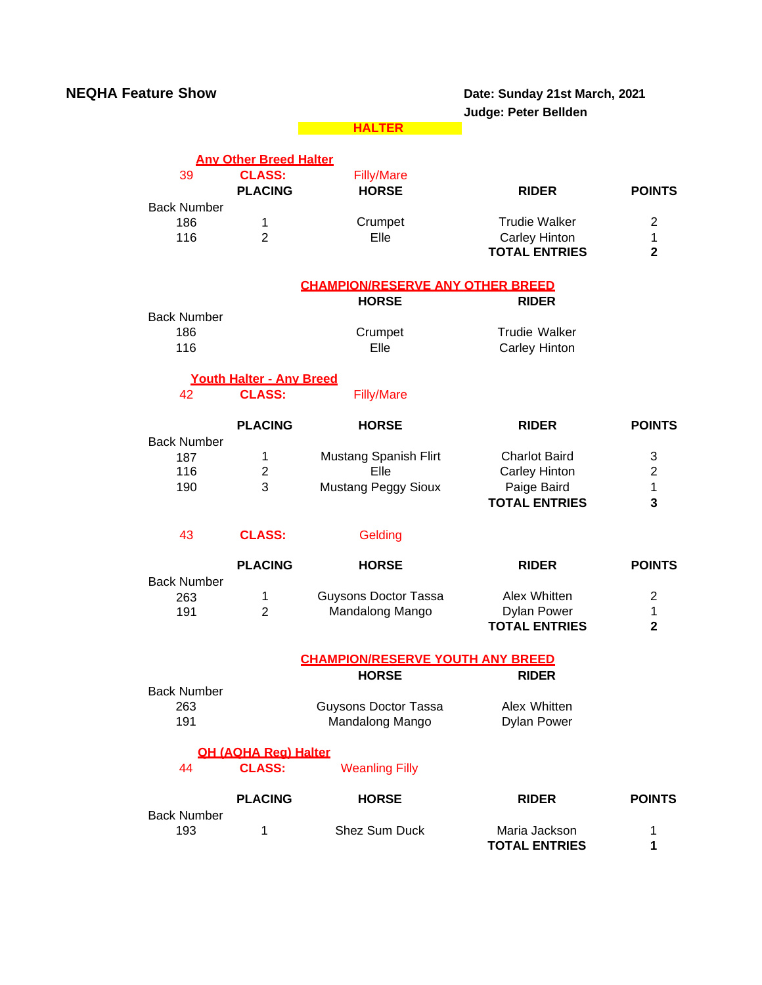| <b>NEQHA Feature Show</b> |                                                  |                                         | Date: Sunday 21st March, 2021<br>Judge: Peter Bellden |                         |
|---------------------------|--------------------------------------------------|-----------------------------------------|-------------------------------------------------------|-------------------------|
|                           |                                                  | <b>HALTER</b>                           |                                                       |                         |
|                           | <b>Any Other Breed Halter</b>                    |                                         |                                                       |                         |
| 39                        | <b>CLASS:</b>                                    | <b>Filly/Mare</b>                       |                                                       |                         |
|                           | <b>PLACING</b>                                   | <b>HORSE</b>                            | <b>RIDER</b>                                          | <b>POINTS</b>           |
| <b>Back Number</b>        |                                                  |                                         |                                                       |                         |
| 186                       | 1                                                | Crumpet                                 | <b>Trudie Walker</b>                                  | $\overline{2}$          |
| 116                       | $\overline{2}$                                   | Elle                                    | <b>Carley Hinton</b>                                  | 1                       |
|                           |                                                  |                                         | <b>TOTAL ENTRIES</b>                                  | $\overline{\mathbf{2}}$ |
|                           |                                                  |                                         |                                                       |                         |
|                           |                                                  | <b>CHAMPION/RESERVE ANY OTHER BREED</b> |                                                       |                         |
|                           |                                                  | <b>HORSE</b>                            | <b>RIDER</b>                                          |                         |
| <b>Back Number</b>        |                                                  |                                         |                                                       |                         |
| 186                       |                                                  | Crumpet                                 | <b>Trudie Walker</b>                                  |                         |
| 116                       |                                                  | Elle                                    | Carley Hinton                                         |                         |
|                           |                                                  |                                         |                                                       |                         |
| 42                        | <b>Youth Halter - Any Breed</b><br><b>CLASS:</b> | <b>Filly/Mare</b>                       |                                                       |                         |
|                           |                                                  |                                         |                                                       |                         |
|                           | <b>PLACING</b>                                   | <b>HORSE</b>                            | <b>RIDER</b>                                          | <b>POINTS</b>           |
| <b>Back Number</b>        |                                                  |                                         |                                                       |                         |
| 187                       | 1                                                | Mustang Spanish Flirt                   | <b>Charlot Baird</b>                                  | 3                       |
| 116                       | $\boldsymbol{2}$                                 | Elle                                    | <b>Carley Hinton</b>                                  | $\boldsymbol{2}$        |
| 190                       | 3                                                | <b>Mustang Peggy Sioux</b>              | Paige Baird                                           | 1                       |
|                           |                                                  |                                         | <b>TOTAL ENTRIES</b>                                  | 3                       |
|                           |                                                  |                                         |                                                       |                         |
| 43                        | <b>CLASS:</b>                                    | Gelding                                 |                                                       |                         |
|                           | <b>PLACING</b>                                   | <b>HORSE</b>                            | <b>RIDER</b>                                          | <b>POINTS</b>           |
| <b>Back Number</b>        |                                                  |                                         |                                                       |                         |
| 263                       | 1                                                | <b>Guysons Doctor Tassa</b>             | Alex Whitten                                          | $\overline{2}$          |
| 191                       | $\overline{2}$                                   | Mandalong Mango                         | <b>Dylan Power</b>                                    | 1                       |
|                           |                                                  |                                         | <b>TOTAL ENTRIES</b>                                  | $\overline{\mathbf{2}}$ |
|                           |                                                  |                                         |                                                       |                         |
|                           |                                                  | <b>CHAMPION/RESERVE YOUTH ANY BREED</b> |                                                       |                         |
|                           |                                                  | <b>HORSE</b>                            | <b>RIDER</b>                                          |                         |
| <b>Back Number</b>        |                                                  |                                         |                                                       |                         |
| 263                       |                                                  | <b>Guysons Doctor Tassa</b>             | Alex Whitten                                          |                         |
| 191                       |                                                  | Mandalong Mango                         | <b>Dylan Power</b>                                    |                         |
|                           | <b>QH (AQHA Rea) Halter</b>                      |                                         |                                                       |                         |
| 44                        | <b>CLASS:</b>                                    | <b>Weanling Filly</b>                   |                                                       |                         |
|                           |                                                  |                                         |                                                       |                         |
|                           | <b>PLACING</b>                                   | <b>HORSE</b>                            | <b>RIDER</b>                                          | <b>POINTS</b>           |
| <b>Back Number</b>        |                                                  |                                         |                                                       |                         |
| 193                       | 1                                                | Shez Sum Duck                           | Maria Jackson                                         | 1                       |
|                           |                                                  |                                         | <b>TOTAL ENTRIES</b>                                  | 1                       |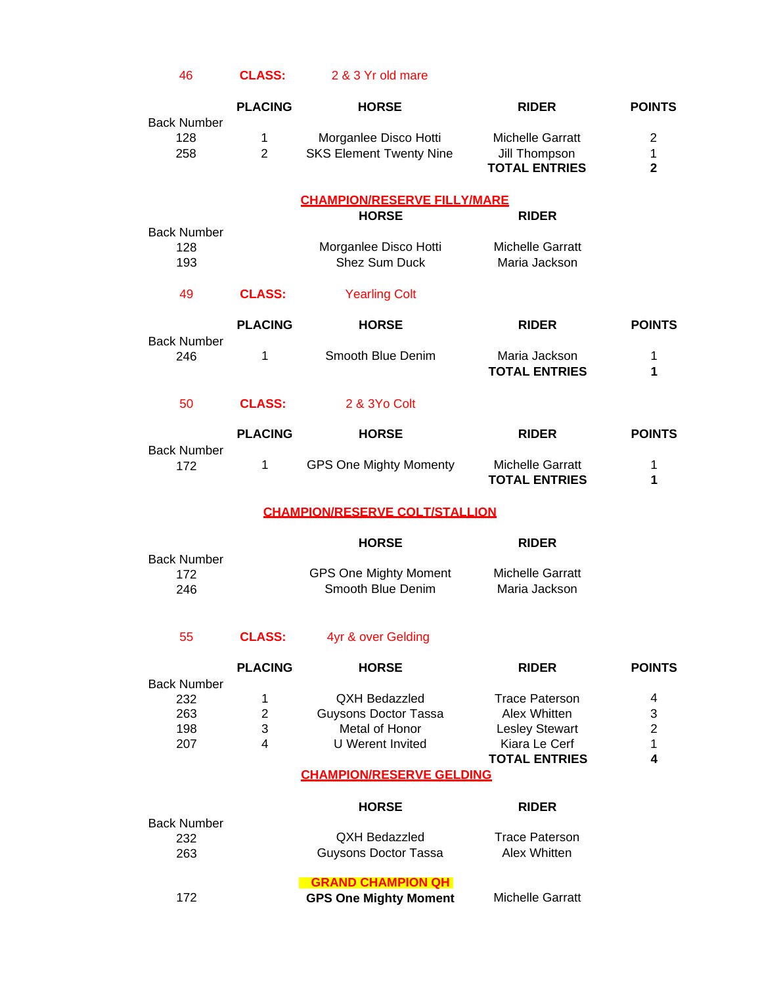## 46 **CLASS:** 2 & 3 Yr old mare

|                                  | <b>PLACING</b>      | <b>HORSE</b>                                            | <b>RIDER</b>                                                     | <b>POINTS</b>                       |
|----------------------------------|---------------------|---------------------------------------------------------|------------------------------------------------------------------|-------------------------------------|
| <b>Back Number</b><br>128<br>258 | 1<br>$\overline{2}$ | Morganlee Disco Hotti<br><b>SKS Element Twenty Nine</b> | <b>Michelle Garratt</b><br>Jill Thompson<br><b>TOTAL ENTRIES</b> | $\overline{2}$<br>1<br>$\mathbf{2}$ |
|                                  |                     | <b>CHAMPION/RESERVE FILLY/MARE</b>                      |                                                                  |                                     |
|                                  |                     | <b>HORSE</b>                                            | <b>RIDER</b>                                                     |                                     |
| <b>Back Number</b><br>128<br>193 |                     | Morganlee Disco Hotti<br><b>Shez Sum Duck</b>           | <b>Michelle Garratt</b><br>Maria Jackson                         |                                     |
| 49                               | <b>CLASS:</b>       | <b>Yearling Colt</b>                                    |                                                                  |                                     |
|                                  | <b>PLACING</b>      | <b>HORSE</b>                                            | <b>RIDER</b>                                                     | <b>POINTS</b>                       |
| <b>Back Number</b><br>246        | 1                   | Smooth Blue Denim                                       | Maria Jackson<br><b>TOTAL ENTRIES</b>                            | 1<br>1                              |
| 50                               | <b>CLASS:</b>       | 2 & 3Yo Colt                                            |                                                                  |                                     |
|                                  | <b>PLACING</b>      | <b>HORSE</b>                                            | <b>RIDER</b>                                                     | <b>POINTS</b>                       |
| <b>Back Number</b><br>172        | 1                   | <b>GPS One Mighty Momenty</b>                           | Michelle Garratt<br><b>TOTAL ENTRIES</b>                         | 1<br>1                              |
|                                  |                     | <b>CHAMPION/RESERVE COLT/STALLION</b>                   |                                                                  |                                     |
|                                  |                     | <b>HORSE</b>                                            | <b>RIDER</b>                                                     |                                     |
| <b>Back Number</b><br>172<br>246 |                     | <b>GPS One Mighty Moment</b><br>Smooth Blue Denim       | <b>Michelle Garratt</b><br>Maria Jackson                         |                                     |
| 55                               | <b>CLASS:</b>       | 4yr & over Gelding                                      |                                                                  |                                     |
|                                  | <b>PLACING</b>      | <b>HORSE</b>                                            | <b>RIDER</b>                                                     | <b>POINTS</b>                       |
| <b>Back Number</b><br>232        | 1                   | <b>QXH Bedazzled</b>                                    | <b>Trace Paterson</b>                                            | 4                                   |
| 263                              | $\overline{2}$      | Guysons Doctor Tassa                                    | Alex Whitten                                                     | 3                                   |
| 198                              | 3                   | Metal of Honor                                          | <b>Lesley Stewart</b>                                            | $\overline{2}$                      |
| 207                              | $\overline{4}$      | <b>U</b> Werent Invited                                 | Kiara Le Cerf                                                    | 1                                   |
|                                  |                     |                                                         | <b>TOTAL ENTRIES</b>                                             | 4                                   |
|                                  |                     | <b>CHAMPION/RESERVE GELDING</b>                         |                                                                  |                                     |
| <b>Back Number</b>               |                     | <b>HORSE</b>                                            | <b>RIDER</b>                                                     |                                     |
| 232                              |                     | <b>QXH Bedazzled</b>                                    | <b>Trace Paterson</b>                                            |                                     |
| 263                              |                     | <b>Guysons Doctor Tassa</b>                             | Alex Whitten                                                     |                                     |
|                                  |                     | <b>GRAND CHAMPION QH</b>                                |                                                                  |                                     |
| 172                              |                     | <b>GPS One Mighty Moment</b>                            | <b>Michelle Garratt</b>                                          |                                     |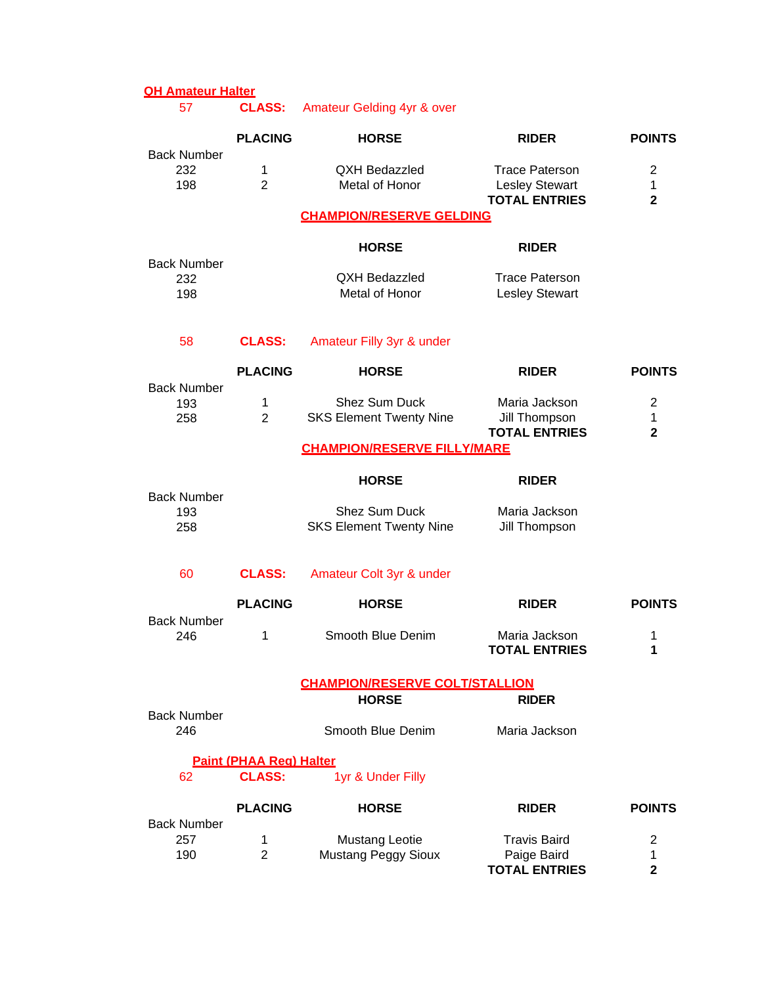# **QH Amateur Halter**

57 **CLASS:** Amateur Gelding 4yr & over

|                                  | <b>PLACING</b>                                  | <b>HORSE</b>                                        | <b>RIDER</b>                                                           | <b>POINTS</b>                                    |
|----------------------------------|-------------------------------------------------|-----------------------------------------------------|------------------------------------------------------------------------|--------------------------------------------------|
| <b>Back Number</b><br>232<br>198 | $\mathbf 1$<br>$\overline{2}$                   | <b>QXH Bedazzled</b><br>Metal of Honor              | <b>Trace Paterson</b><br><b>Lesley Stewart</b><br><b>TOTAL ENTRIES</b> | $\overline{2}$<br>$\mathbf 1$<br>$\overline{2}$  |
|                                  |                                                 | <b>CHAMPION/RESERVE GELDING</b>                     |                                                                        |                                                  |
|                                  |                                                 | <b>HORSE</b>                                        | <b>RIDER</b>                                                           |                                                  |
| <b>Back Number</b><br>232<br>198 |                                                 | <b>QXH Bedazzled</b><br>Metal of Honor              | <b>Trace Paterson</b><br><b>Lesley Stewart</b>                         |                                                  |
| 58                               | <b>CLASS:</b>                                   | Amateur Filly 3yr & under                           |                                                                        |                                                  |
|                                  | <b>PLACING</b>                                  | <b>HORSE</b>                                        | <b>RIDER</b>                                                           | <b>POINTS</b>                                    |
| <b>Back Number</b><br>193<br>258 | 1<br>$\overline{2}$                             | Shez Sum Duck<br><b>SKS Element Twenty Nine</b>     | Maria Jackson<br>Jill Thompson<br><b>TOTAL ENTRIES</b>                 | $\overline{2}$<br>$\mathbf{1}$<br>$\overline{2}$ |
|                                  |                                                 | <b>CHAMPION/RESERVE FILLY/MARE</b>                  |                                                                        |                                                  |
|                                  |                                                 | <b>HORSE</b>                                        | <b>RIDER</b>                                                           |                                                  |
| <b>Back Number</b><br>193<br>258 |                                                 | Shez Sum Duck<br><b>SKS Element Twenty Nine</b>     | Maria Jackson<br>Jill Thompson                                         |                                                  |
| 60                               | <b>CLASS:</b>                                   | Amateur Colt 3yr & under                            |                                                                        |                                                  |
|                                  | <b>PLACING</b>                                  | <b>HORSE</b>                                        | <b>RIDER</b>                                                           | <b>POINTS</b>                                    |
| <b>Back Number</b><br>246        | 1                                               | Smooth Blue Denim                                   | Maria Jackson<br><b>TOTAL ENTRIES</b>                                  | 1<br>1                                           |
|                                  |                                                 | <b>CHAMPION/RESERVE COLT/STALLION</b>               |                                                                        |                                                  |
| <b>Back Number</b>               |                                                 | <b>HORSE</b>                                        | <b>RIDER</b>                                                           |                                                  |
| 246                              |                                                 | Smooth Blue Denim                                   | Maria Jackson                                                          |                                                  |
| 62                               | <b>Paint (PHAA Rea) Halter</b><br><b>CLASS:</b> | 1yr & Under Filly                                   |                                                                        |                                                  |
|                                  | <b>PLACING</b>                                  | <b>HORSE</b>                                        | <b>RIDER</b>                                                           | <b>POINTS</b>                                    |
| <b>Back Number</b><br>257<br>190 | 1<br>$\overline{2}$                             | <b>Mustang Leotie</b><br><b>Mustang Peggy Sioux</b> | <b>Travis Baird</b><br>Paige Baird<br><b>TOTAL ENTRIES</b>             | $\overline{2}$<br>1<br>$\mathbf{2}$              |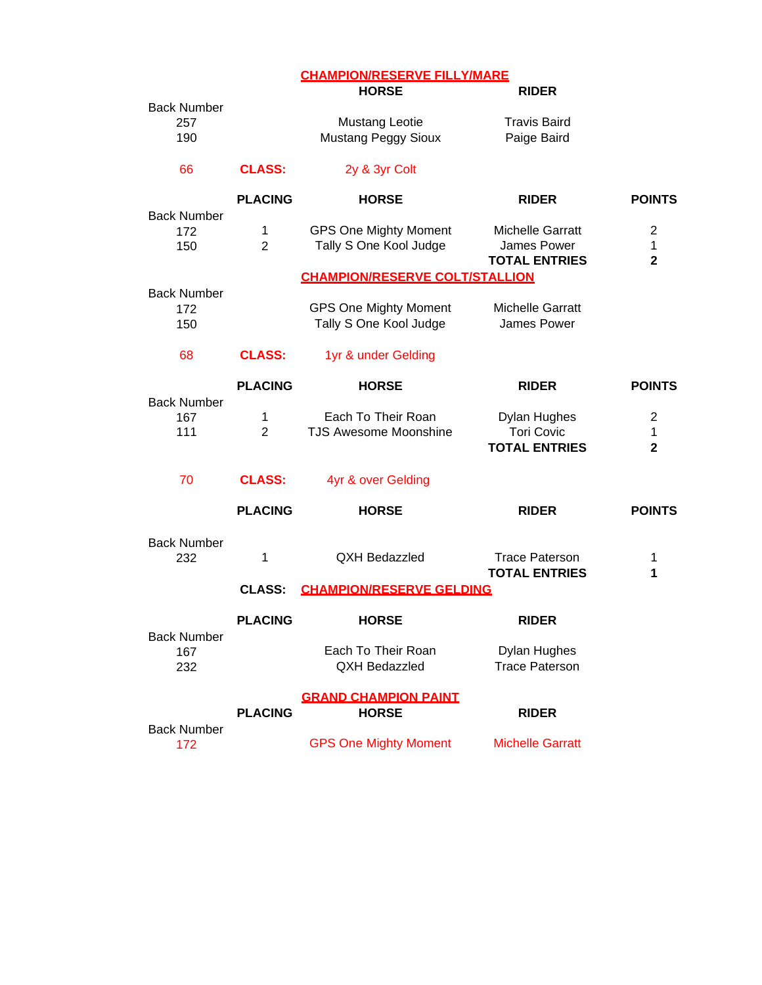| <b>CHAMPION/RESERVE FILLY/MARE</b> |
|------------------------------------|
|------------------------------------|

|                                  |                     | <b>HORSE</b>                                           | <b>RIDER</b>                                                     |                                     |
|----------------------------------|---------------------|--------------------------------------------------------|------------------------------------------------------------------|-------------------------------------|
| <b>Back Number</b><br>257<br>190 |                     | <b>Mustang Leotie</b><br><b>Mustang Peggy Sioux</b>    | <b>Travis Baird</b><br>Paige Baird                               |                                     |
| 66                               | <b>CLASS:</b>       | 2y & 3yr Colt                                          |                                                                  |                                     |
|                                  | <b>PLACING</b>      | <b>HORSE</b>                                           | <b>RIDER</b>                                                     | <b>POINTS</b>                       |
| <b>Back Number</b><br>172<br>150 | 1<br>$\overline{2}$ | <b>GPS One Mighty Moment</b><br>Tally S One Kool Judge | <b>Michelle Garratt</b><br>James Power<br><b>TOTAL ENTRIES</b>   | $\overline{2}$<br>1<br>$\mathbf{2}$ |
|                                  |                     | <b>CHAMPION/RESERVE COLT/STALLION</b>                  |                                                                  |                                     |
| <b>Back Number</b><br>172<br>150 |                     | <b>GPS One Mighty Moment</b><br>Tally S One Kool Judge | <b>Michelle Garratt</b><br>James Power                           |                                     |
| 68                               | <b>CLASS:</b>       | 1yr & under Gelding                                    |                                                                  |                                     |
|                                  | <b>PLACING</b>      | <b>HORSE</b>                                           | <b>RIDER</b>                                                     | <b>POINTS</b>                       |
| <b>Back Number</b><br>167<br>111 | 1<br>$\overline{2}$ | Each To Their Roan<br><b>TJS Awesome Moonshine</b>     | <b>Dylan Hughes</b><br><b>Tori Covic</b><br><b>TOTAL ENTRIES</b> | 2<br>1<br>$\mathbf{2}$              |
| 70                               | <b>CLASS:</b>       | 4yr & over Gelding                                     |                                                                  |                                     |
|                                  | <b>PLACING</b>      | <b>HORSE</b>                                           | <b>RIDER</b>                                                     | <b>POINTS</b>                       |
| <b>Back Number</b><br>232        | 1                   | <b>QXH Bedazzled</b>                                   | <b>Trace Paterson</b><br><b>TOTAL ENTRIES</b>                    | 1<br>1                              |
|                                  | <b>CLASS:</b>       | <b>CHAMPION/RESERVE GELDING</b>                        |                                                                  |                                     |
| <b>Back Number</b>               | <b>PLACING</b>      | <b>HORSE</b>                                           | <b>RIDER</b>                                                     |                                     |
| 167<br>232                       |                     | Each To Their Roan<br><b>QXH Bedazzled</b>             | Dylan Hughes<br><b>Trace Paterson</b>                            |                                     |
|                                  | <b>PLACING</b>      | <b>GRAND CHAMPION PAINT</b><br><b>HORSE</b>            | <b>RIDER</b>                                                     |                                     |
| <b>Back Number</b><br>172        |                     | <b>GPS One Mighty Moment</b>                           | <b>Michelle Garratt</b>                                          |                                     |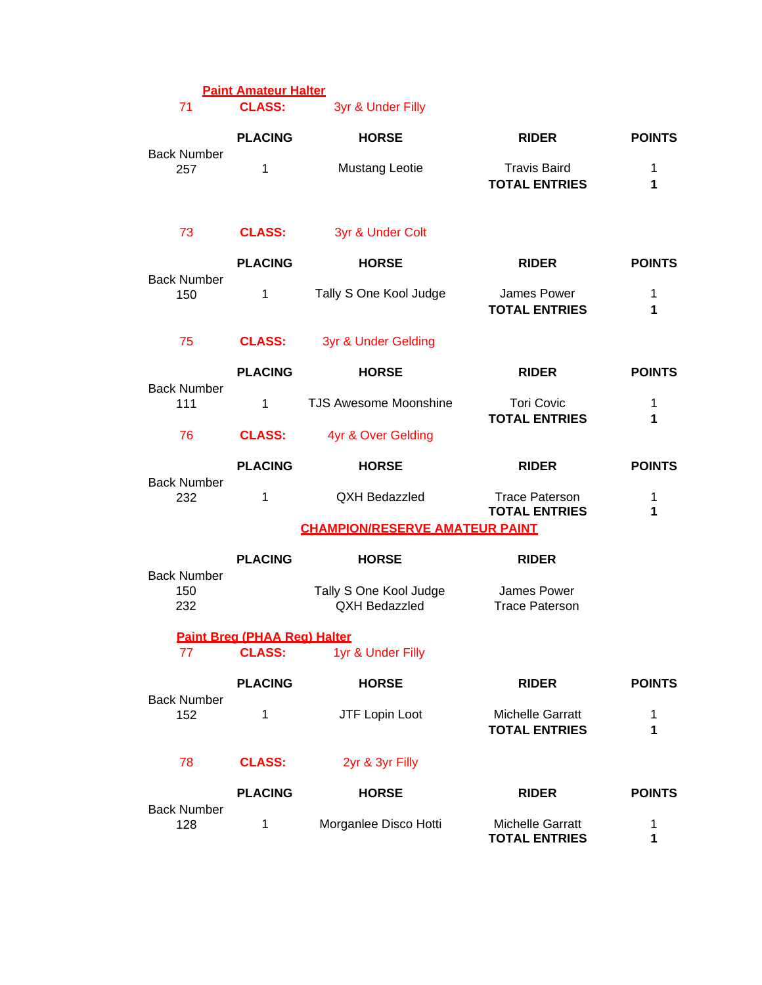| 71                               | <b>Paint Amateur Halter</b><br><b>CLASS:</b> | 3yr & Under Filly                       |                                               |                  |
|----------------------------------|----------------------------------------------|-----------------------------------------|-----------------------------------------------|------------------|
|                                  | <b>PLACING</b>                               | <b>HORSE</b>                            | <b>RIDER</b>                                  | <b>POINTS</b>    |
| <b>Back Number</b><br>257        | 1                                            | <b>Mustang Leotie</b>                   | <b>Travis Baird</b><br><b>TOTAL ENTRIES</b>   | 1<br>1           |
| 73                               | <b>CLASS:</b>                                | 3yr & Under Colt                        |                                               |                  |
|                                  | <b>PLACING</b>                               | <b>HORSE</b>                            | <b>RIDER</b>                                  | <b>POINTS</b>    |
| <b>Back Number</b><br>150        | 1                                            | Tally S One Kool Judge                  | James Power<br><b>TOTAL ENTRIES</b>           | 1<br>1           |
| 75                               | <b>CLASS:</b>                                | 3yr & Under Gelding                     |                                               |                  |
|                                  | <b>PLACING</b>                               | <b>HORSE</b>                            | <b>RIDER</b>                                  | <b>POINTS</b>    |
| <b>Back Number</b><br>111        | 1                                            | <b>TJS Awesome Moonshine</b>            | <b>Tori Covic</b><br><b>TOTAL ENTRIES</b>     | 1<br>1           |
| 76                               | <b>CLASS:</b>                                | 4yr & Over Gelding                      |                                               |                  |
|                                  | <b>PLACING</b>                               | <b>HORSE</b>                            | <b>RIDER</b>                                  | <b>POINTS</b>    |
| <b>Back Number</b><br>232        | $\mathbf{1}$                                 | QXH Bedazzled                           | <b>Trace Paterson</b><br><b>TOTAL ENTRIES</b> | $\mathbf 1$<br>1 |
|                                  |                                              | <b>CHAMPION/RESERVE AMATEUR PAINT</b>   |                                               |                  |
|                                  | <b>PLACING</b>                               | <b>HORSE</b>                            | <b>RIDER</b>                                  |                  |
| <b>Back Number</b><br>150<br>232 |                                              | Tally S One Kool Judge<br>QXH Bedazzled | James Power<br><b>Trace Paterson</b>          |                  |
|                                  | Paint Brea (PHAA Rea) Halter                 |                                         |                                               |                  |
| 77                               | <b>CLASS:</b>                                | 1yr & Under Filly                       |                                               |                  |
| <b>Back Number</b>               | <b>PLACING</b>                               | <b>HORSE</b>                            | <b>RIDER</b>                                  | <b>POINTS</b>    |
| 152                              | 1                                            | JTF Lopin Loot                          | Michelle Garratt<br><b>TOTAL ENTRIES</b>      | 1<br>1           |
| 78                               | <b>CLASS:</b>                                | 2yr & 3yr Filly                         |                                               |                  |
|                                  | <b>PLACING</b>                               | <b>HORSE</b>                            | <b>RIDER</b>                                  | <b>POINTS</b>    |
| <b>Back Number</b><br>128        | 1                                            | Morganlee Disco Hotti                   | Michelle Garratt<br><b>TOTAL ENTRIES</b>      | 1<br>1           |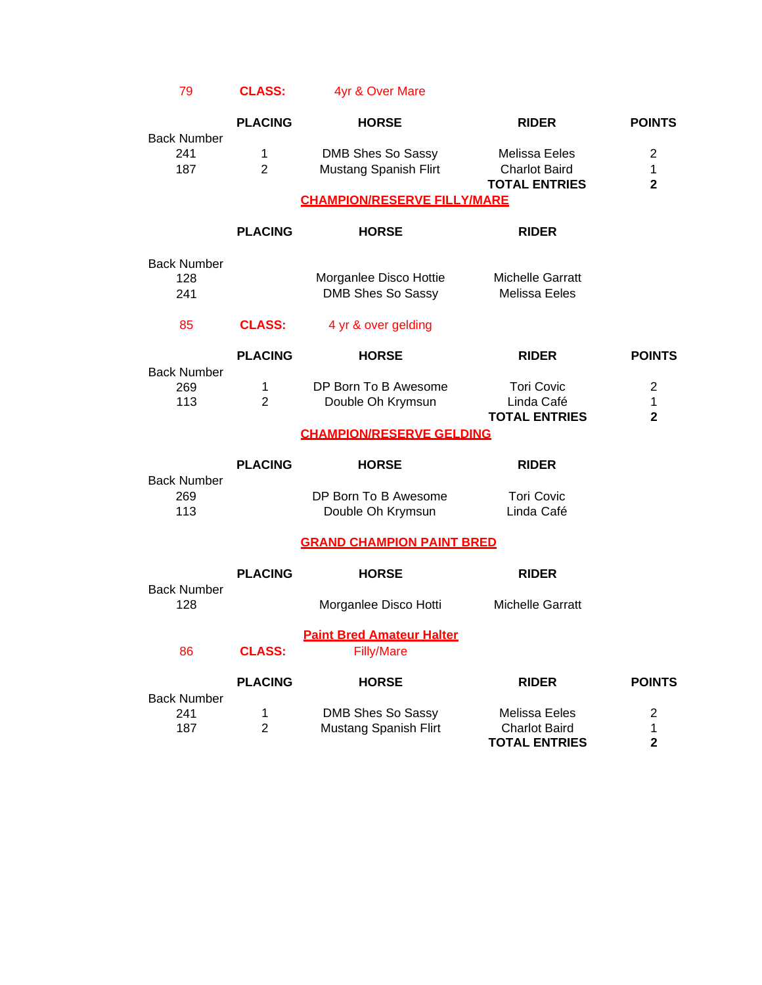79 **CLASS:** 4yr & Over Mare

|                                  | <b>PLACING</b>      | <b>HORSE</b>                                          | <b>RIDER</b>                                                  | <b>POINTS</b>                                  |
|----------------------------------|---------------------|-------------------------------------------------------|---------------------------------------------------------------|------------------------------------------------|
| <b>Back Number</b><br>241<br>187 | 1<br>$\overline{2}$ | DMB Shes So Sassy<br>Mustang Spanish Flirt            | Melissa Eeles<br><b>Charlot Baird</b><br><b>TOTAL ENTRIES</b> | $\overline{2}$<br>1<br>$\mathbf{2}$            |
|                                  |                     | <b>CHAMPION/RESERVE FILLY/MARE</b>                    |                                                               |                                                |
|                                  | <b>PLACING</b>      | <b>HORSE</b>                                          | <b>RIDER</b>                                                  |                                                |
| <b>Back Number</b><br>128<br>241 |                     | Morganlee Disco Hottie<br>DMB Shes So Sassy           | <b>Michelle Garratt</b><br>Melissa Eeles                      |                                                |
| 85                               | <b>CLASS:</b>       | 4 yr & over gelding                                   |                                                               |                                                |
|                                  | <b>PLACING</b>      | <b>HORSE</b>                                          | <b>RIDER</b>                                                  | <b>POINTS</b>                                  |
| <b>Back Number</b><br>269<br>113 | 1<br>$\overline{2}$ | DP Born To B Awesome<br>Double Oh Krymsun             | <b>Tori Covic</b><br>Linda Café<br><b>TOTAL ENTRIES</b>       | $\overline{2}$<br>$\mathbf{1}$<br>$\mathbf{2}$ |
|                                  |                     | <b>CHAMPION/RESERVE GELDING</b>                       |                                                               |                                                |
| <b>Back Number</b>               | <b>PLACING</b>      | <b>HORSE</b>                                          | <b>RIDER</b>                                                  |                                                |
| 269<br>113                       |                     | DP Born To B Awesome<br>Double Oh Krymsun             | <b>Tori Covic</b><br>Linda Café                               |                                                |
|                                  |                     | <b>GRAND CHAMPION PAINT BRED</b>                      |                                                               |                                                |
|                                  | <b>PLACING</b>      | <b>HORSE</b>                                          | <b>RIDER</b>                                                  |                                                |
| <b>Back Number</b><br>128        |                     | Morganlee Disco Hotti                                 | <b>Michelle Garratt</b>                                       |                                                |
| 86                               | <b>CLASS:</b>       | <b>Paint Bred Amateur Halter</b><br><b>Filly/Mare</b> |                                                               |                                                |
|                                  | <b>PLACING</b>      | <b>HORSE</b>                                          | <b>RIDER</b>                                                  | <b>POINTS</b>                                  |
| <b>Back Number</b><br>241<br>187 | 1<br>$\overline{2}$ | DMB Shes So Sassy<br><b>Mustang Spanish Flirt</b>     | Melissa Eeles<br><b>Charlot Baird</b><br><b>TOTAL ENTRIES</b> | $\overline{2}$<br>1<br>$\overline{\mathbf{2}}$ |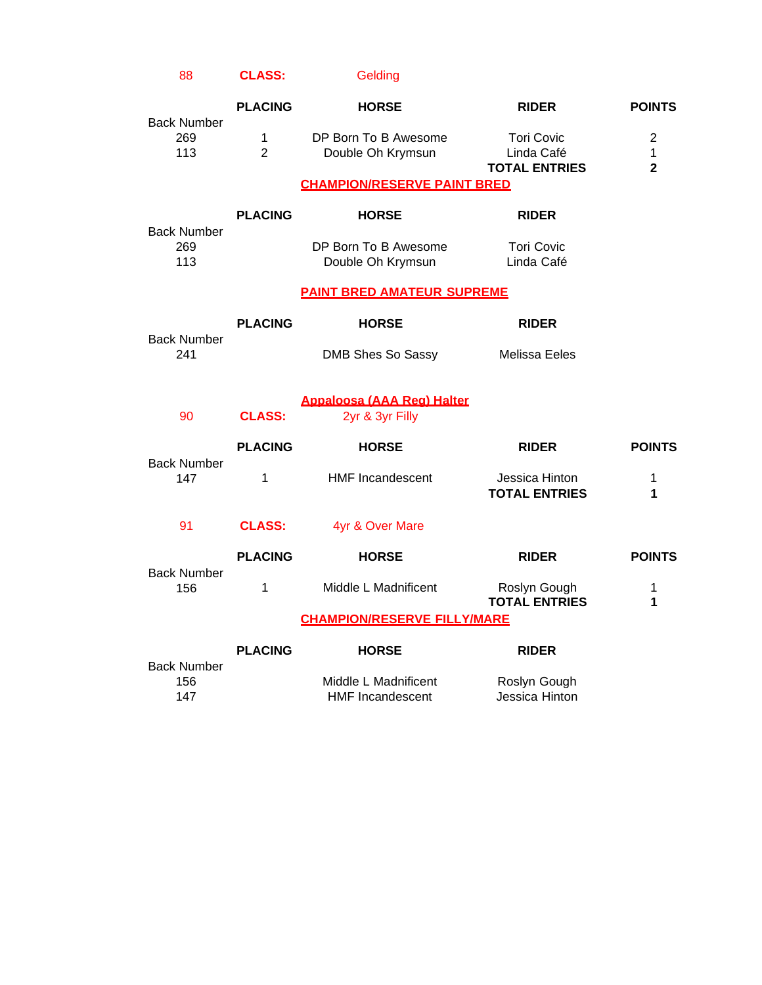| <b>CLASS:</b><br>88 | Gelding |
|---------------------|---------|
|---------------------|---------|

| <b>Back Number</b>               | <b>PLACING</b>      | <b>HORSE</b>                                         | <b>RIDER</b>                                            | <b>POINTS</b>                                    |
|----------------------------------|---------------------|------------------------------------------------------|---------------------------------------------------------|--------------------------------------------------|
| 269<br>113                       | 1<br>$\overline{2}$ | DP Born To B Awesome<br>Double Oh Krymsun            | <b>Tori Covic</b><br>Linda Café<br><b>TOTAL ENTRIES</b> | $\overline{2}$<br>$\mathbf{1}$<br>$\overline{2}$ |
|                                  |                     | <b>CHAMPION/RESERVE PAINT BRED</b>                   |                                                         |                                                  |
| <b>Back Number</b>               | <b>PLACING</b>      | <b>HORSE</b>                                         | <b>RIDER</b>                                            |                                                  |
| 269<br>113                       |                     | DP Born To B Awesome<br>Double Oh Krymsun            | <b>Tori Covic</b><br>Linda Café                         |                                                  |
|                                  |                     | <b>PAINT BRED AMATEUR SUPREME</b>                    |                                                         |                                                  |
| <b>Back Number</b>               | <b>PLACING</b>      | <b>HORSE</b>                                         | <b>RIDER</b>                                            |                                                  |
| 241                              |                     | DMB Shes So Sassy                                    | Melissa Eeles                                           |                                                  |
| 90                               | <b>CLASS:</b>       | <b>Appaloosa (AAA Reg) Halter</b><br>2yr & 3yr Filly |                                                         |                                                  |
|                                  | <b>PLACING</b>      | <b>HORSE</b>                                         | <b>RIDER</b>                                            | <b>POINTS</b>                                    |
| <b>Back Number</b><br>147        | 1                   | <b>HMF Incandescent</b>                              | Jessica Hinton<br><b>TOTAL ENTRIES</b>                  | 1<br>1                                           |
| 91                               | <b>CLASS:</b>       | 4yr & Over Mare                                      |                                                         |                                                  |
| <b>Back Number</b>               | <b>PLACING</b>      | <b>HORSE</b>                                         | <b>RIDER</b>                                            | <b>POINTS</b>                                    |
| 156                              | 1                   | Middle L Madnificent                                 | Roslyn Gough<br><b>TOTAL ENTRIES</b>                    | 1<br>1                                           |
|                                  |                     | <b>CHAMPION/RESERVE FILLY/MARE</b>                   |                                                         |                                                  |
|                                  | <b>PLACING</b>      | <b>HORSE</b>                                         | <b>RIDER</b>                                            |                                                  |
| <b>Back Number</b><br>156<br>147 |                     | Middle L Madnificent<br><b>HMF Incandescent</b>      | Roslyn Gough<br>Jessica Hinton                          |                                                  |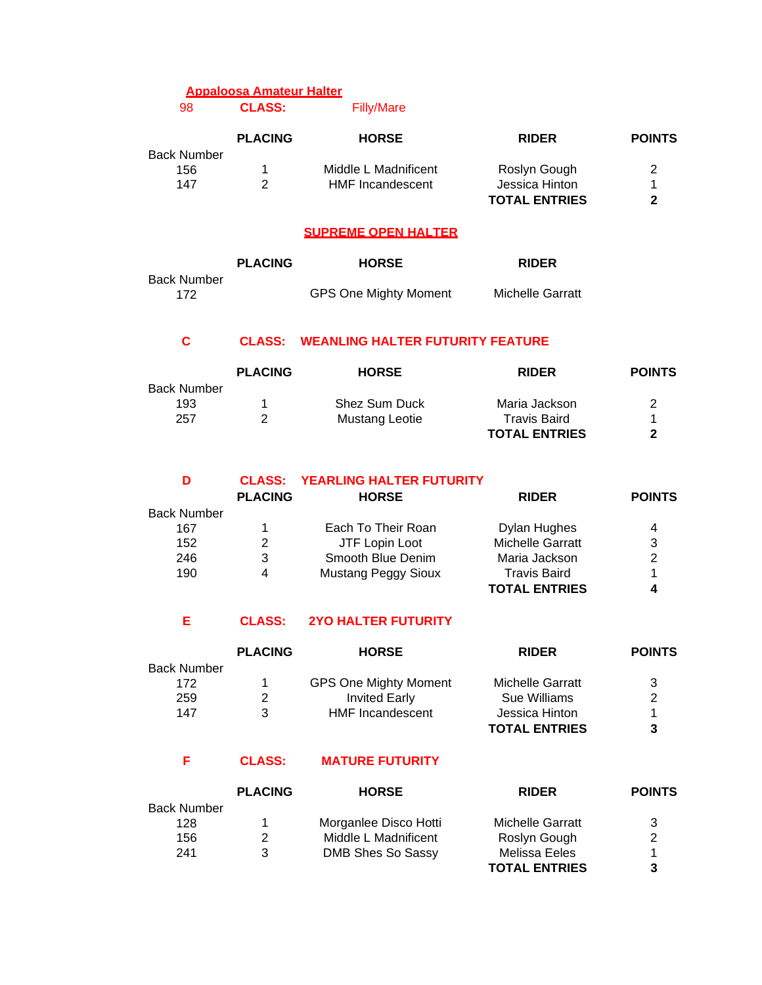# **Appaloosa Amateur Halter**

98 **CLASS:** Filly/Mare

|             | <b>PLACING</b> | <b>HORSE</b>            | <b>RIDER</b>         | <b>POINTS</b> |
|-------------|----------------|-------------------------|----------------------|---------------|
| Back Number |                |                         |                      |               |
| 156         |                | Middle L Madnificent    | Roslyn Gough         |               |
| 147         |                | <b>HMF</b> Incandescent | Jessica Hinton       |               |
|             |                |                         | <b>TOTAL ENTRIES</b> |               |

#### **SUPREME OPEN HALTER**

|             | <b>PLACING</b> | <b>HORSE</b>                 | <b>RIDER</b>     |
|-------------|----------------|------------------------------|------------------|
| Back Number |                |                              |                  |
| 172         |                | <b>GPS One Mighty Moment</b> | Michelle Garratt |

## **C CLASS: WEANLING HALTER FUTURITY FEATURE**

|                    | <b>PLACING</b> | <b>HORSE</b>          | <b>RIDER</b>         | <b>POINTS</b> |
|--------------------|----------------|-----------------------|----------------------|---------------|
| <b>Back Number</b> |                |                       |                      |               |
| 193                |                | <b>Shez Sum Duck</b>  | Maria Jackson        | 2             |
| 257                | 2              | <b>Mustang Leotie</b> | <b>Travis Baird</b>  |               |
|                    |                |                       | <b>TOTAL ENTRIES</b> | 2             |

### **D CLASS: YEARLING HALTER FUTURITY**

|                    | <b>PLACING</b> | <b>HORSE</b>               | <b>RIDER</b>            | <b>POINTS</b> |
|--------------------|----------------|----------------------------|-------------------------|---------------|
| <b>Back Number</b> |                |                            |                         |               |
| 167                |                | Each To Their Roan         | Dylan Hughes            | 4             |
| 152                | 2              | JTF Lopin Loot             | <b>Michelle Garratt</b> | 3             |
| 246                | 3              | Smooth Blue Denim          | Maria Jackson           | 2             |
| 190                | 4              | <b>Mustang Peggy Sioux</b> | <b>Travis Baird</b>     |               |
|                    |                |                            | <b>TOTAL ENTRIES</b>    |               |

### **E CLASS: 2YO HALTER FUTURITY**

|                    | <b>PLACING</b> | <b>HORSE</b>                 | <b>RIDER</b>         | <b>POINTS</b> |
|--------------------|----------------|------------------------------|----------------------|---------------|
| <b>Back Number</b> |                |                              |                      |               |
| 172                |                | <b>GPS One Mighty Moment</b> | Michelle Garratt     | 3             |
| 259                |                | <b>Invited Early</b>         | Sue Williams         | 2             |
| 147                |                | <b>HMF</b> Incandescent      | Jessica Hinton       |               |
|                    |                |                              | <b>TOTAL ENTRIES</b> |               |

### **F CLASS: MATURE FUTURITY**

|                    | <b>PLACING</b> | <b>HORSE</b>          | <b>RIDER</b>         | <b>POINTS</b> |
|--------------------|----------------|-----------------------|----------------------|---------------|
| <b>Back Number</b> |                |                       |                      |               |
| 128                |                | Morganlee Disco Hotti | Michelle Garratt     | 3             |
| 156                | 2              | Middle L Madnificent  | Roslyn Gough         | 2             |
| 241                | 3              | DMB Shes So Sassy     | Melissa Eeles        | 1             |
|                    |                |                       | <b>TOTAL ENTRIES</b> | 3             |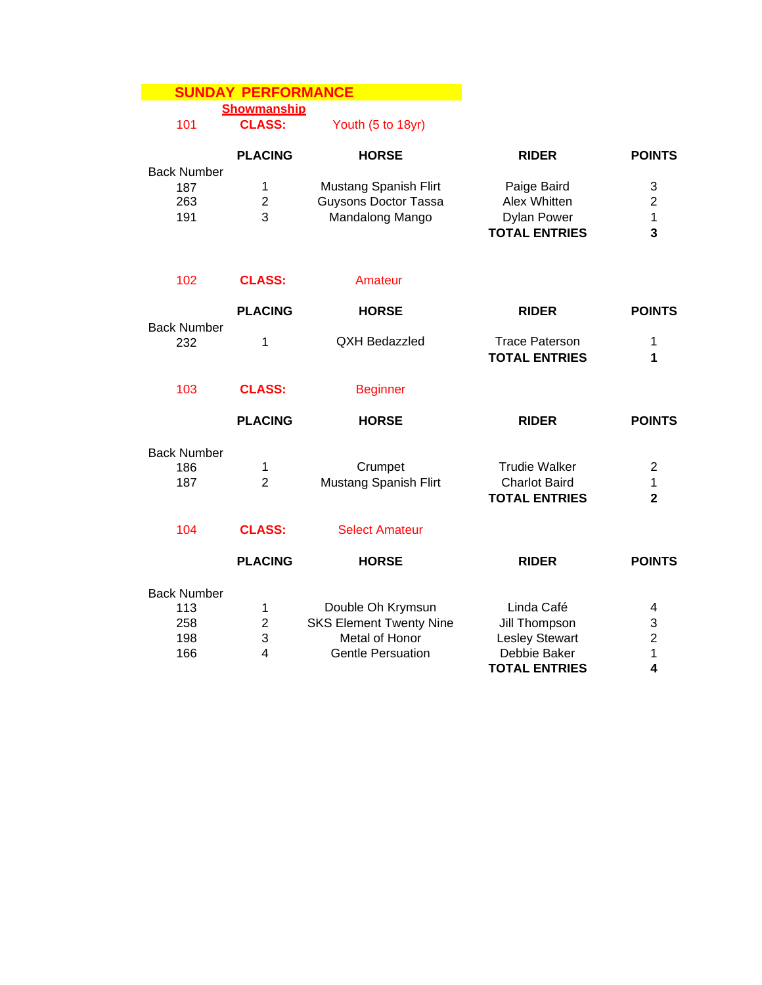# **SUNDAY PERFORMANCE**

**Showmanship**

101 **CLASS:**

Youth (5 to 18yr)

|                                                | <b>PLACING</b>                          | <b>HORSE</b>                                                                                      | <b>RIDER</b>                                                                                 | <b>POINTS</b>                                    |
|------------------------------------------------|-----------------------------------------|---------------------------------------------------------------------------------------------------|----------------------------------------------------------------------------------------------|--------------------------------------------------|
| <b>Back Number</b><br>187<br>263<br>191        | 1<br>$\overline{2}$<br>3                | <b>Mustang Spanish Flirt</b><br><b>Guysons Doctor Tassa</b><br>Mandalong Mango                    | Paige Baird<br>Alex Whitten<br><b>Dylan Power</b><br><b>TOTAL ENTRIES</b>                    | 3<br>$\overline{2}$<br>1<br>3                    |
| 102                                            | <b>CLASS:</b>                           | Amateur                                                                                           |                                                                                              |                                                  |
|                                                | <b>PLACING</b>                          | <b>HORSE</b>                                                                                      | <b>RIDER</b>                                                                                 | <b>POINTS</b>                                    |
| <b>Back Number</b><br>232                      | 1                                       | <b>QXH Bedazzled</b>                                                                              | <b>Trace Paterson</b><br><b>TOTAL ENTRIES</b>                                                | 1<br>1                                           |
| 103                                            | <b>CLASS:</b>                           | <b>Beginner</b>                                                                                   |                                                                                              |                                                  |
|                                                | <b>PLACING</b>                          | <b>HORSE</b>                                                                                      | <b>RIDER</b>                                                                                 | <b>POINTS</b>                                    |
| <b>Back Number</b><br>186<br>187               | 1<br>$\overline{2}$                     | Crumpet<br><b>Mustang Spanish Flirt</b>                                                           | <b>Trudie Walker</b><br><b>Charlot Baird</b><br><b>TOTAL ENTRIES</b>                         | $\overline{2}$<br>$\mathbf{1}$<br>$\overline{2}$ |
| 104                                            | <b>CLASS:</b>                           | <b>Select Amateur</b>                                                                             |                                                                                              |                                                  |
|                                                | <b>PLACING</b>                          | <b>HORSE</b>                                                                                      | <b>RIDER</b>                                                                                 | <b>POINTS</b>                                    |
| <b>Back Number</b><br>113<br>258<br>198<br>166 | 1<br>$\mathbf 2$<br>3<br>$\overline{4}$ | Double Oh Krymsun<br><b>SKS Element Twenty Nine</b><br>Metal of Honor<br><b>Gentle Persuation</b> | Linda Café<br>Jill Thompson<br><b>Lesley Stewart</b><br>Debbie Baker<br><b>TOTAL ENTRIES</b> | 4<br>3<br>$\overline{2}$<br>1<br>4               |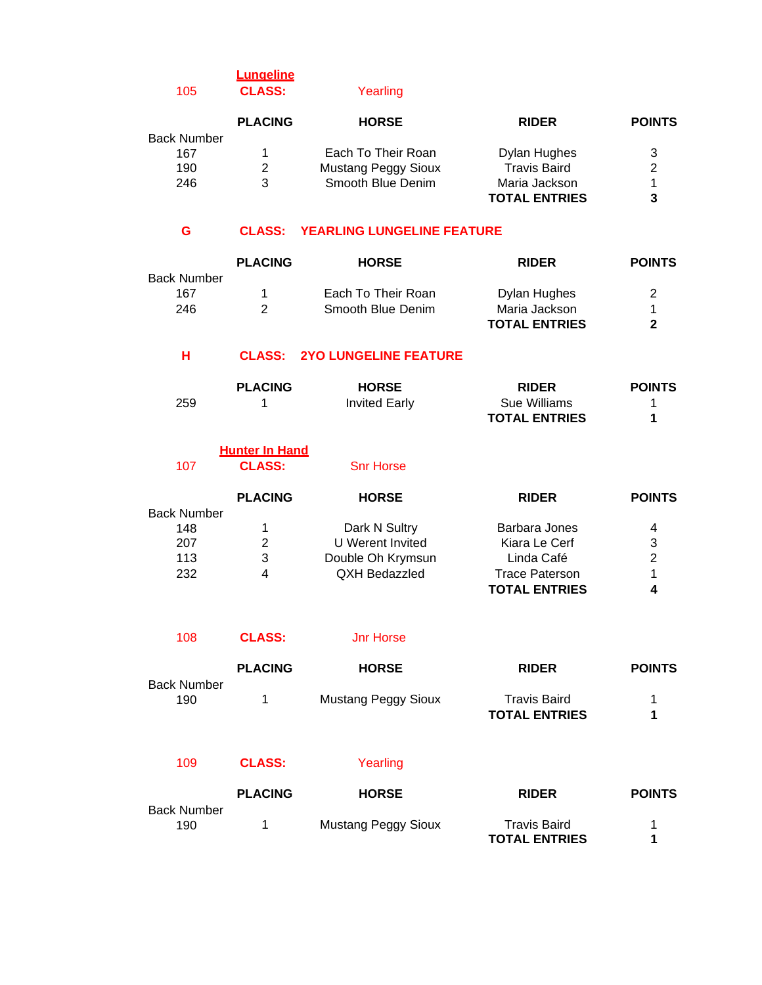# **Lungeline** 105 **CLASS:** Yearling

|                    | <b>PLACING</b> | <b>HORSE</b>               | <b>RIDER</b>         | <b>POINTS</b> |
|--------------------|----------------|----------------------------|----------------------|---------------|
| <b>Back Number</b> |                |                            |                      |               |
| 167                |                | Each To Their Roan         | Dylan Hughes         | 3             |
| 190                | 2              | <b>Mustang Peggy Sioux</b> | <b>Travis Baird</b>  | 2             |
| 246                | 3              | Smooth Blue Denim          | Maria Jackson        |               |
|                    |                |                            | <b>TOTAL ENTRIES</b> | 3             |

#### **G CLASS: YEARLING LUNGELINE FEATURE**

|                    | <b>PLACING</b> | <b>HORSE</b>       | <b>RIDER</b>         | <b>POINTS</b> |
|--------------------|----------------|--------------------|----------------------|---------------|
| <b>Back Number</b> |                |                    |                      |               |
| 167                |                | Each To Their Roan | Dylan Hughes         | 2             |
| 246                |                | Smooth Blue Denim  | Maria Jackson        |               |
|                    |                |                    | <b>TOTAL ENTRIES</b> | 2             |

## **H CLASS: 2YO LUNGELINE FEATURE**

|     | <b>PLACING</b> | <b>HORSE</b>         | <b>RIDER</b>         | <b>POINTS</b> |
|-----|----------------|----------------------|----------------------|---------------|
| 259 |                | <b>Invited Early</b> | Sue Williams         |               |
|     |                |                      | <b>TOTAL ENTRIES</b> |               |

**POINTS** 

|                    | <b>Hunter In Hand</b> |                  |              |
|--------------------|-----------------------|------------------|--------------|
| 107                | <b>CLASS:</b>         | <b>Snr Horse</b> |              |
|                    | <b>PLACING</b>        | <b>HORSE</b>     | <b>RIDER</b> |
| <b>Back Number</b> |                       |                  |              |

| <b>PUVILINAIIINUI</b> |   |                   |                       |   |
|-----------------------|---|-------------------|-----------------------|---|
| 148                   |   | Dark N Sultry     | Barbara Jones         | 4 |
| 207                   | 2 | U Werent Invited  | Kiara Le Cerf         | 3 |
| 113                   | 3 | Double Oh Krymsun | Linda Café            | 2 |
| 232                   | 4 | QXH Bedazzled     | <b>Trace Paterson</b> |   |
|                       |   |                   | <b>TOTAL ENTRIES</b>  | 4 |
|                       |   |                   |                       |   |

| 108 | <b>CLASS:</b> | <b>Jnr Horse</b> |
|-----|---------------|------------------|
|     |               |                  |

|                           | <b>PLACING</b> | <b>HORSE</b>        | <b>RIDER</b>         | <b>POINTS</b> |
|---------------------------|----------------|---------------------|----------------------|---------------|
| <b>Back Number</b><br>190 |                | Mustang Peggy Sioux | Travis Baird         | 1.            |
|                           |                |                     | <b>TOTAL ENTRIES</b> |               |
|                           |                |                     |                      |               |

# 109 **CLASS:** Yearling

|             | <b>PLACING</b> | <b>HORSE</b>        | <b>RIDER</b>         | <b>POINTS</b> |
|-------------|----------------|---------------------|----------------------|---------------|
| Back Number |                |                     |                      |               |
| 190         |                | Mustang Peggy Sioux | Travis Baird         |               |
|             |                |                     | <b>TOTAL ENTRIES</b> |               |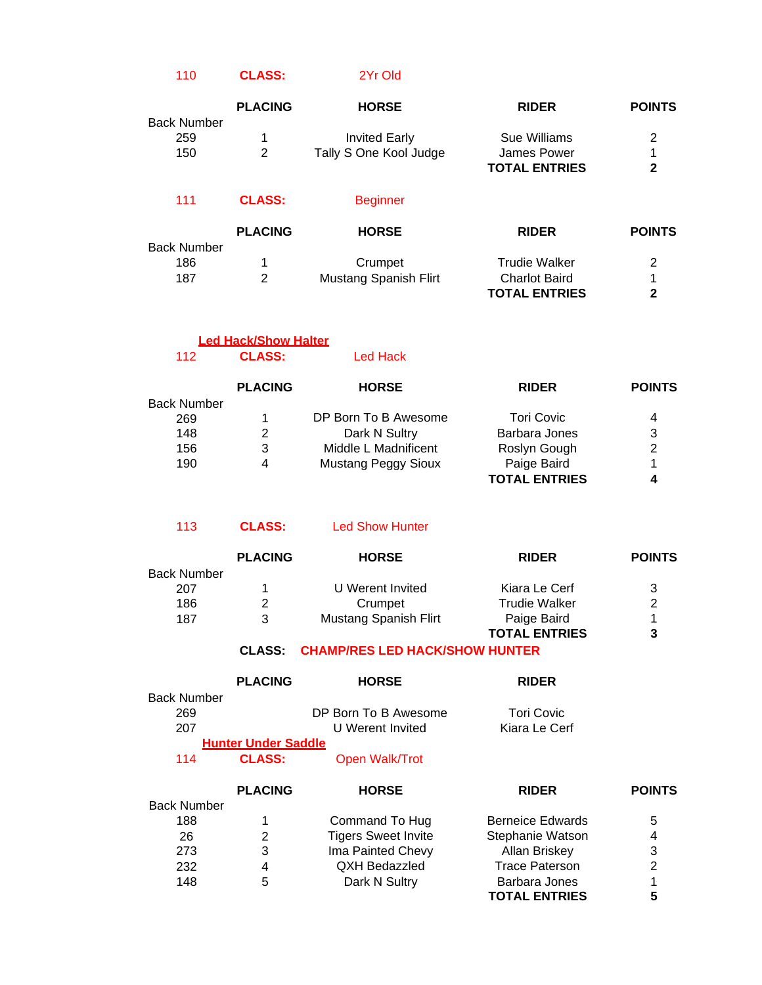## 110 **CLASS:** 2Yr Old

|                           | <b>PLACING</b> | <b>HORSE</b>           | <b>RIDER</b>         | <b>POINTS</b> |
|---------------------------|----------------|------------------------|----------------------|---------------|
| <b>Back Number</b><br>259 | 1              | <b>Invited Early</b>   | Sue Williams         | 2             |
| 150                       | 2              | Tally S One Kool Judge | James Power          | 1             |
|                           |                |                        | <b>TOTAL ENTRIES</b> | $\mathbf{2}$  |
| 111                       | <b>CLASS:</b>  | <b>Beginner</b>        |                      |               |
|                           | <b>PLACING</b> | <b>HORSE</b>           | <b>RIDER</b>         | <b>POINTS</b> |

| <b>Back Number</b> |                       |                      |  |
|--------------------|-----------------------|----------------------|--|
| 186                | Crumpet               | <b>Trudie Walker</b> |  |
| 187                | Mustang Spanish Flirt | <b>Charlot Baird</b> |  |
|                    |                       | <b>TOTAL ENTRIES</b> |  |

| 112                | <b>CLASS:</b>  | Led Hack                   |                      |               |
|--------------------|----------------|----------------------------|----------------------|---------------|
|                    | <b>PLACING</b> | <b>HORSE</b>               | <b>RIDER</b>         | <b>POINTS</b> |
| <b>Back Number</b> |                |                            |                      |               |
| 269                | 1              | DP Born To B Awesome       | <b>Tori Covic</b>    | 4             |
| 148                | 2              | Dark N Sultry              | Barbara Jones        | 3             |
| 156                | 3              | Middle L Madnificent       | Roslyn Gough         | 2             |
| 190                | 4              | <b>Mustang Peggy Sioux</b> | Paige Baird          |               |
|                    |                |                            | <b>TOTAL ENTRIES</b> |               |

| <b>Led Show Hunter</b> |
|------------------------|
|                        |

**Led Hack/Show Halter**

|                    | <b>PLACING</b> | <b>HORSE</b>          | <b>RIDER</b>         | <b>POINTS</b> |
|--------------------|----------------|-----------------------|----------------------|---------------|
| <b>Back Number</b> |                |                       |                      |               |
| 207                |                | U Werent Invited      | Kiara Le Cerf        | 3             |
| 186                | 2              | Crumpet               | <b>Trudie Walker</b> | 2             |
| 187                | 3              | Mustang Spanish Flirt | Paige Baird          |               |
|                    |                |                       | <b>TOTAL ENTRIES</b> | 3             |

#### **CLASS: CHAMP/RES LED HACK/SHOW HUNTER**

|                    | <b>PLACING</b>             | <b>HORSE</b>               | <b>RIDER</b>            |               |
|--------------------|----------------------------|----------------------------|-------------------------|---------------|
| <b>Back Number</b> |                            |                            |                         |               |
| 269                |                            | DP Born To B Awesome       | <b>Tori Covic</b>       |               |
| 207                |                            | U Werent Invited           | Kiara Le Cerf           |               |
|                    | <b>Hunter Under Saddle</b> |                            |                         |               |
| 114                | <b>CLASS:</b>              | Open Walk/Trot             |                         |               |
|                    | <b>PLACING</b>             | <b>HORSE</b>               | <b>RIDER</b>            | <b>POINTS</b> |
| <b>Back Number</b> |                            |                            |                         |               |
| 188                | 1                          | Command To Hug             | <b>Berneice Edwards</b> | 5             |
| 26                 | 2                          | <b>Tigers Sweet Invite</b> | Stephanie Watson        | 4             |
| 273                | 3                          | Ima Painted Chevy          | Allan Briskey           | 3             |
| 232                | 4                          | <b>QXH Bedazzled</b>       | <b>Trace Paterson</b>   | 2             |

148 5 Dark N Sultry Barbara Jones 1

**TOTAL ENTRIES 5**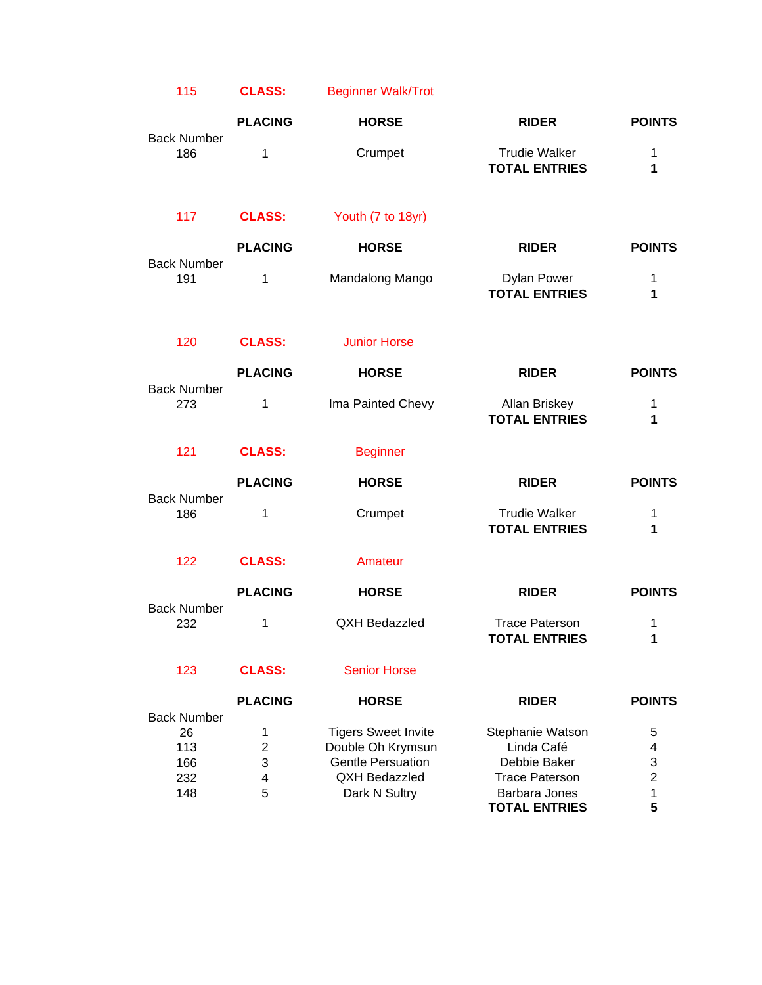| 115                       | <b>CLASS:</b>  | <b>Beginner Walk/Trot</b>  |                                               |                |
|---------------------------|----------------|----------------------------|-----------------------------------------------|----------------|
|                           | <b>PLACING</b> | <b>HORSE</b>               | <b>RIDER</b>                                  | <b>POINTS</b>  |
| <b>Back Number</b><br>186 | 1              | Crumpet                    | <b>Trudie Walker</b><br><b>TOTAL ENTRIES</b>  | 1<br>1         |
| 117                       | <b>CLASS:</b>  | Youth (7 to 18yr)          |                                               |                |
| <b>Back Number</b>        | <b>PLACING</b> | <b>HORSE</b>               | <b>RIDER</b>                                  | <b>POINTS</b>  |
| 191                       | 1              | Mandalong Mango            | <b>Dylan Power</b><br><b>TOTAL ENTRIES</b>    | 1<br>1         |
| 120                       | <b>CLASS:</b>  | <b>Junior Horse</b>        |                                               |                |
|                           | <b>PLACING</b> | <b>HORSE</b>               | <b>RIDER</b>                                  | <b>POINTS</b>  |
| <b>Back Number</b><br>273 | 1              | Ima Painted Chevy          | Allan Briskey<br><b>TOTAL ENTRIES</b>         | 1<br>1         |
| 121                       | <b>CLASS:</b>  | <b>Beginner</b>            |                                               |                |
|                           | <b>PLACING</b> | <b>HORSE</b>               | <b>RIDER</b>                                  | <b>POINTS</b>  |
| <b>Back Number</b><br>186 | 1              | Crumpet                    | <b>Trudie Walker</b><br><b>TOTAL ENTRIES</b>  | 1<br>1         |
| 122                       | <b>CLASS:</b>  | Amateur                    |                                               |                |
|                           | <b>PLACING</b> | <b>HORSE</b>               | <b>RIDER</b>                                  | <b>POINTS</b>  |
| <b>Back Number</b><br>232 | 1              | <b>QXH Bedazzled</b>       | <b>Trace Paterson</b><br><b>TOTAL ENTRIES</b> | 1<br>1         |
| 123                       | <b>CLASS:</b>  | <b>Senior Horse</b>        |                                               |                |
| <b>Back Number</b>        | <b>PLACING</b> | <b>HORSE</b>               | <b>RIDER</b>                                  | <b>POINTS</b>  |
| 26                        | 1              | <b>Tigers Sweet Invite</b> | Stephanie Watson                              | 5              |
| 113                       | $\overline{c}$ | Double Oh Krymsun          | Linda Café                                    | 4              |
| 166                       | 3              | <b>Gentle Persuation</b>   | Debbie Baker                                  | 3              |
| 232                       | 4              | <b>QXH Bedazzled</b>       | <b>Trace Paterson</b>                         | $\overline{2}$ |
| 148                       | 5              | Dark N Sultry              | Barbara Jones                                 | 1              |
|                           |                |                            | <b>TOTAL ENTRIES</b>                          | 5              |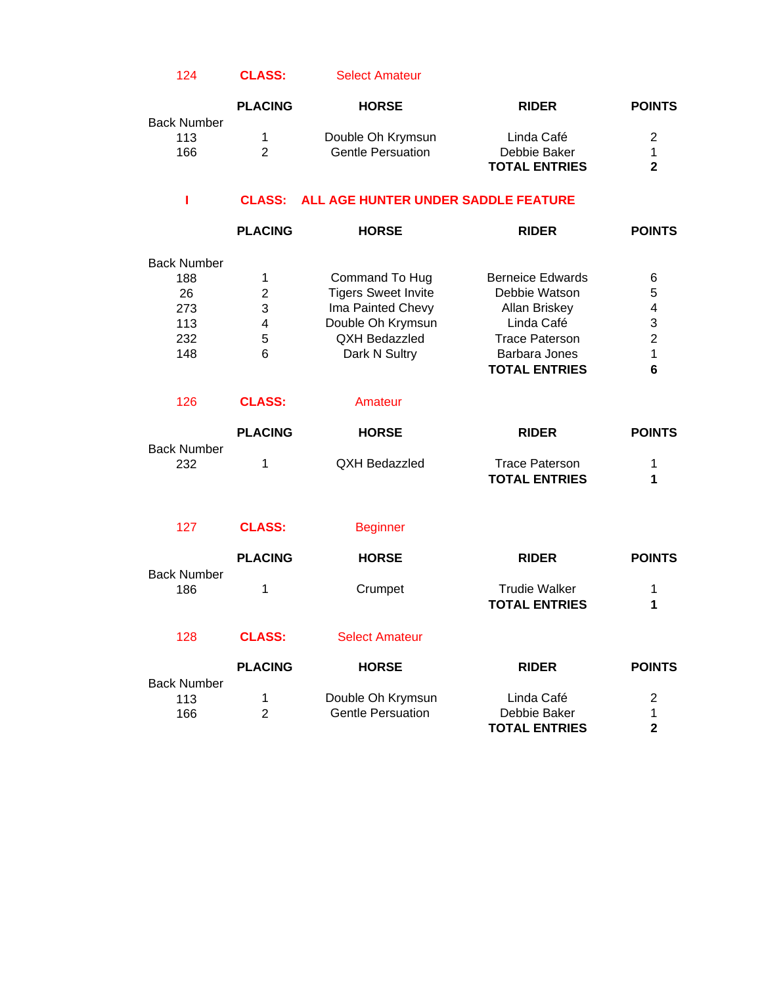#### 124 **CLASS:** Select Amateur

|             | <b>PLACING</b> | <b>HORSE</b>             | <b>RIDER</b>         | <b>POINTS</b> |
|-------------|----------------|--------------------------|----------------------|---------------|
| Back Number |                |                          |                      |               |
| 113         |                | Double Oh Krymsun        | Linda Café           | 2             |
| 166         |                | <b>Gentle Persuation</b> | Debbie Baker         |               |
|             |                |                          | <b>TOTAL ENTRIES</b> | ŋ             |

## **I CLASS: ALL AGE HUNTER UNDER SADDLE FEATURE**

|                    | <b>PLACING</b> | <b>HORSE</b>               | <b>RIDER</b>            | <b>POINTS</b> |
|--------------------|----------------|----------------------------|-------------------------|---------------|
| <b>Back Number</b> |                |                            |                         |               |
| 188                |                | Command To Hug             | <b>Berneice Edwards</b> | 6             |
| 26                 | 2              | <b>Tigers Sweet Invite</b> | Debbie Watson           | 5             |
| 273                | 3              | Ima Painted Chevy          | Allan Briskey           | 4             |
| 113                | 4              | Double Oh Krymsun          | Linda Café              | 3             |
| 232                | 5              | <b>QXH Bedazzled</b>       | <b>Trace Paterson</b>   | 2             |
| 148                | 6              | Dark N Sultry              | Barbara Jones           |               |
|                    |                |                            | <b>TOTAL ENTRIES</b>    | 6             |

| 126                       | <b>CLASS:</b>  | Amateur       |                |               |
|---------------------------|----------------|---------------|----------------|---------------|
|                           | <b>PLACING</b> | <b>HORSE</b>  | <b>RIDER</b>   | <b>POINTS</b> |
| <b>Back Number</b><br>232 |                | QXH Bedazzled | Trace Paterson |               |

| 127                | <b>CLASS:</b>  | <b>Beginner</b>       |                                              |               |
|--------------------|----------------|-----------------------|----------------------------------------------|---------------|
| <b>Back Number</b> | <b>PLACING</b> | <b>HORSE</b>          | <b>RIDER</b>                                 | <b>POINTS</b> |
| 186                | 1              | Crumpet               | <b>Trudie Walker</b><br><b>TOTAL ENTRIES</b> | 1<br>1        |
| 128                | <b>CLASS:</b>  | <b>Select Amateur</b> |                                              |               |
|                    | <b>PLACING</b> | <b>HORSE</b>          | <b>RIDER</b>                                 | <b>POINTS</b> |

**TOTAL ENTRIES 1**

| <b>Back Number</b> |                          |                      |  |
|--------------------|--------------------------|----------------------|--|
| 113                | Double Oh Krymsun        | Linda Café           |  |
| 166                | <b>Gentle Persuation</b> | Debbie Baker         |  |
|                    |                          | <b>TOTAL ENTRIES</b> |  |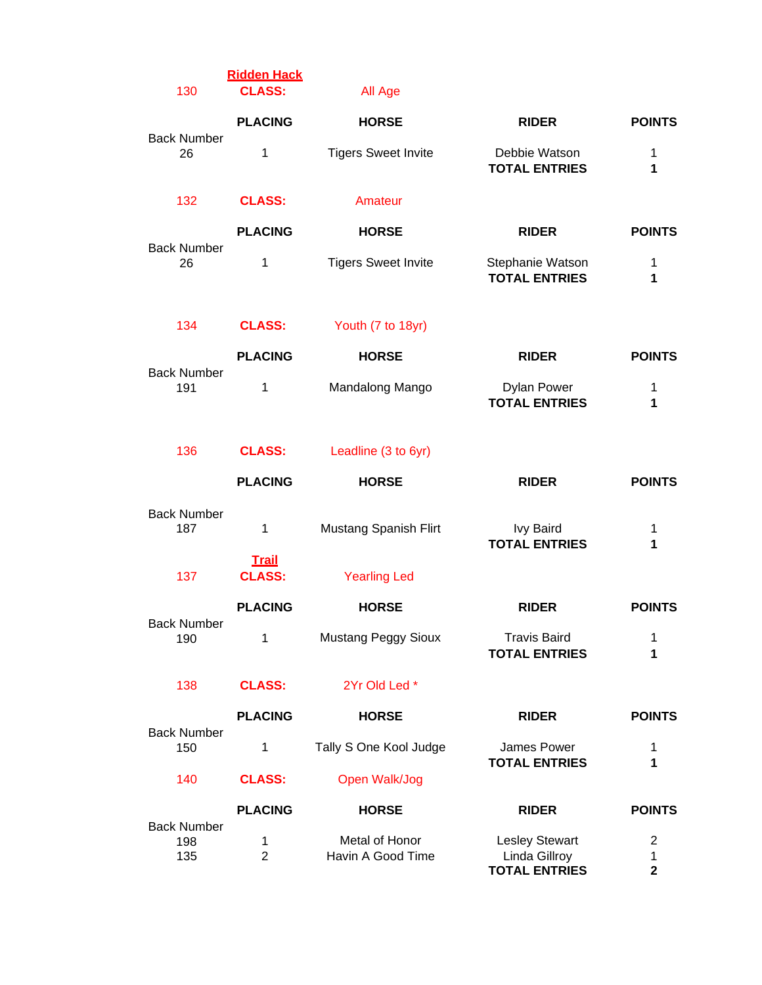| 130                              | <b>Ridden Hack</b><br><b>CLASS:</b> | All Age                             |                                                                |                        |
|----------------------------------|-------------------------------------|-------------------------------------|----------------------------------------------------------------|------------------------|
|                                  | <b>PLACING</b>                      | <b>HORSE</b>                        | <b>RIDER</b>                                                   | <b>POINTS</b>          |
| <b>Back Number</b><br>26         | 1                                   | <b>Tigers Sweet Invite</b>          | Debbie Watson<br><b>TOTAL ENTRIES</b>                          | 1<br>1                 |
| 132                              | <b>CLASS:</b>                       | Amateur                             |                                                                |                        |
|                                  | <b>PLACING</b>                      | <b>HORSE</b>                        | <b>RIDER</b>                                                   | <b>POINTS</b>          |
| <b>Back Number</b><br>26         | 1                                   | <b>Tigers Sweet Invite</b>          | Stephanie Watson<br><b>TOTAL ENTRIES</b>                       | 1<br>1                 |
| 134                              | <b>CLASS:</b>                       | Youth (7 to 18yr)                   |                                                                |                        |
|                                  | <b>PLACING</b>                      | <b>HORSE</b>                        | <b>RIDER</b>                                                   | <b>POINTS</b>          |
| <b>Back Number</b><br>191        | 1                                   | Mandalong Mango                     | <b>Dylan Power</b><br><b>TOTAL ENTRIES</b>                     | 1<br>1                 |
| 136                              | <b>CLASS:</b>                       | Leadline (3 to 6yr)                 |                                                                |                        |
|                                  | <b>PLACING</b>                      | <b>HORSE</b>                        | <b>RIDER</b>                                                   | <b>POINTS</b>          |
| <b>Back Number</b><br>187        | 1                                   | Mustang Spanish Flirt               | <b>Ivy Baird</b><br><b>TOTAL ENTRIES</b>                       | 1<br>1                 |
| 137                              | <b>Trail</b><br><b>CLASS:</b>       | <b>Yearling Led</b>                 |                                                                |                        |
|                                  | <b>PLACING</b>                      | <b>HORSE</b>                        | <b>RIDER</b>                                                   | <b>POINTS</b>          |
| <b>Back Number</b><br>190        | 1                                   | <b>Mustang Peggy Sioux</b>          | <b>Travis Baird</b><br><b>TOTAL ENTRIES</b>                    | 1<br>1                 |
| 138                              | <b>CLASS:</b>                       | 2Yr Old Led *                       |                                                                |                        |
|                                  | <b>PLACING</b>                      | <b>HORSE</b>                        | <b>RIDER</b>                                                   | <b>POINTS</b>          |
| <b>Back Number</b><br>150        | 1                                   | Tally S One Kool Judge              | James Power<br><b>TOTAL ENTRIES</b>                            | 1<br>1                 |
| 140                              | <b>CLASS:</b>                       | Open Walk/Jog                       |                                                                |                        |
|                                  | <b>PLACING</b>                      | <b>HORSE</b>                        | <b>RIDER</b>                                                   | <b>POINTS</b>          |
| <b>Back Number</b><br>198<br>135 | 1<br>$\overline{2}$                 | Metal of Honor<br>Havin A Good Time | <b>Lesley Stewart</b><br>Linda Gillroy<br><b>TOTAL ENTRIES</b> | 2<br>1<br>$\mathbf{2}$ |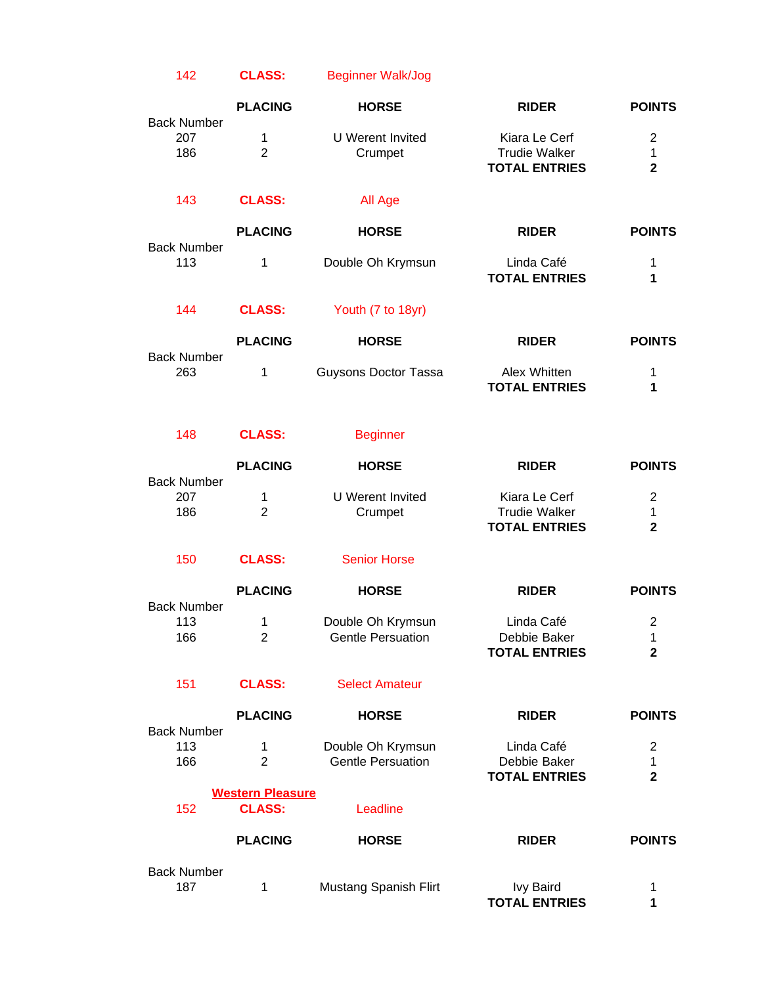# 142 **CLASS:** Beginner Walk/Jog

|                                  | <b>PLACING</b>                           | <b>HORSE</b>                                  | <b>RIDER</b>                                                  | <b>POINTS</b>                                   |
|----------------------------------|------------------------------------------|-----------------------------------------------|---------------------------------------------------------------|-------------------------------------------------|
| <b>Back Number</b><br>207<br>186 | 1<br>$\overline{2}$                      | <b>U</b> Werent Invited<br>Crumpet            | Kiara Le Cerf<br><b>Trudie Walker</b><br><b>TOTAL ENTRIES</b> | $\overline{2}$<br>$\mathbf 1$<br>$\mathbf{2}$   |
| 143                              | <b>CLASS:</b>                            | All Age                                       |                                                               |                                                 |
|                                  | <b>PLACING</b>                           | <b>HORSE</b>                                  | <b>RIDER</b>                                                  | <b>POINTS</b>                                   |
| <b>Back Number</b><br>113        | 1                                        | Double Oh Krymsun                             | Linda Café<br><b>TOTAL ENTRIES</b>                            | 1<br>1                                          |
| 144                              | <b>CLASS:</b>                            | Youth (7 to 18yr)                             |                                                               |                                                 |
|                                  | <b>PLACING</b>                           | <b>HORSE</b>                                  | <b>RIDER</b>                                                  | <b>POINTS</b>                                   |
| <b>Back Number</b><br>263        | 1                                        | <b>Guysons Doctor Tassa</b>                   | Alex Whitten<br><b>TOTAL ENTRIES</b>                          | 1<br>1                                          |
| 148                              | <b>CLASS:</b>                            | <b>Beginner</b>                               |                                                               |                                                 |
|                                  | <b>PLACING</b>                           | <b>HORSE</b>                                  | <b>RIDER</b>                                                  | <b>POINTS</b>                                   |
| <b>Back Number</b><br>207<br>186 | 1<br>$\overline{2}$                      | <b>U</b> Werent Invited<br>Crumpet            | Kiara Le Cerf<br><b>Trudie Walker</b><br><b>TOTAL ENTRIES</b> | $\overline{c}$<br>1<br>$\overline{2}$           |
| 150                              | <b>CLASS:</b>                            | <b>Senior Horse</b>                           |                                                               |                                                 |
|                                  | <b>PLACING</b>                           | <b>HORSE</b>                                  | <b>RIDER</b>                                                  | <b>POINTS</b>                                   |
| <b>Back Number</b><br>113<br>166 | 1<br>$\overline{2}$                      | Double Oh Krymsun<br><b>Gentle Persuation</b> | Linda Café<br>Debbie Baker<br><b>TOTAL ENTRIES</b>            | $\overline{2}$<br>1<br>$\mathbf{2}$             |
| 151                              | <b>CLASS:</b>                            | <b>Select Amateur</b>                         |                                                               |                                                 |
| <b>Back Number</b>               | <b>PLACING</b>                           | <b>HORSE</b>                                  | <b>RIDER</b>                                                  | <b>POINTS</b>                                   |
| 113<br>166                       | 1<br>$\overline{2}$                      | Double Oh Krymsun<br><b>Gentle Persuation</b> | Linda Café<br>Debbie Baker<br><b>TOTAL ENTRIES</b>            | $\overline{2}$<br>$\mathbf 1$<br>$\overline{2}$ |
| 152                              | <b>Western Pleasure</b><br><b>CLASS:</b> | Leadline                                      |                                                               |                                                 |
|                                  | <b>PLACING</b>                           | <b>HORSE</b>                                  | <b>RIDER</b>                                                  | <b>POINTS</b>                                   |
| <b>Back Number</b><br>187        | 1                                        | Mustang Spanish Flirt                         | <b>Ivy Baird</b><br><b>TOTAL ENTRIES</b>                      | 1<br>1                                          |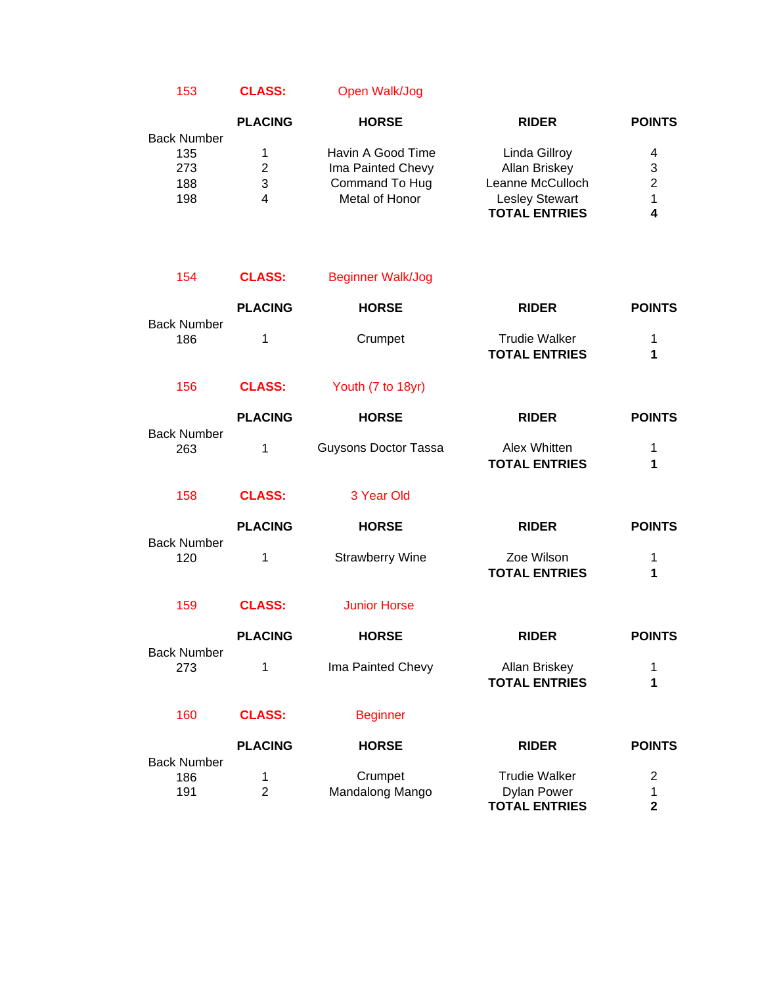153 **CLASS:** Open Walk/Jog

|                    | <b>PLACING</b> | <b>HORSE</b>      | <b>RIDER</b>          | <b>POINTS</b> |
|--------------------|----------------|-------------------|-----------------------|---------------|
| <b>Back Number</b> |                |                   |                       |               |
| 135                |                | Havin A Good Time | Linda Gillroy         | 4             |
| 273                | 2              | Ima Painted Chevy | Allan Briskey         | 3             |
| 188                | 3              | Command To Hug    | Leanne McCulloch      | 2             |
| 198                | 4              | Metal of Honor    | <b>Lesley Stewart</b> | 1             |
|                    |                |                   | <b>TOTAL ENTRIES</b>  |               |

| 154                              | <b>CLASS:</b>       | <b>Beginner Walk/Jog</b>    |                                                                    |                                                |
|----------------------------------|---------------------|-----------------------------|--------------------------------------------------------------------|------------------------------------------------|
|                                  | <b>PLACING</b>      | <b>HORSE</b>                | <b>RIDER</b>                                                       | <b>POINTS</b>                                  |
| <b>Back Number</b><br>186        | 1                   | Crumpet                     | <b>Trudie Walker</b><br><b>TOTAL ENTRIES</b>                       | 1<br>1                                         |
| 156                              | <b>CLASS:</b>       | Youth (7 to 18yr)           |                                                                    |                                                |
|                                  | <b>PLACING</b>      | <b>HORSE</b>                | <b>RIDER</b>                                                       | <b>POINTS</b>                                  |
| <b>Back Number</b><br>263        | 1                   | <b>Guysons Doctor Tassa</b> | Alex Whitten<br><b>TOTAL ENTRIES</b>                               | 1<br>1                                         |
| 158                              | <b>CLASS:</b>       | 3 Year Old                  |                                                                    |                                                |
|                                  | <b>PLACING</b>      | <b>HORSE</b>                | <b>RIDER</b>                                                       | <b>POINTS</b>                                  |
| <b>Back Number</b><br>120        | 1                   | <b>Strawberry Wine</b>      | Zoe Wilson<br><b>TOTAL ENTRIES</b>                                 | 1<br>1                                         |
| 159                              | <b>CLASS:</b>       | <b>Junior Horse</b>         |                                                                    |                                                |
|                                  | <b>PLACING</b>      | <b>HORSE</b>                | <b>RIDER</b>                                                       | <b>POINTS</b>                                  |
| <b>Back Number</b><br>273        | 1                   | Ima Painted Chevy           | Allan Briskey<br><b>TOTAL ENTRIES</b>                              | 1<br>1                                         |
| 160                              | <b>CLASS:</b>       | <b>Beginner</b>             |                                                                    |                                                |
|                                  | <b>PLACING</b>      | <b>HORSE</b>                | <b>RIDER</b>                                                       | <b>POINTS</b>                                  |
| <b>Back Number</b><br>186<br>191 | 1<br>$\overline{2}$ | Crumpet<br>Mandalong Mango  | <b>Trudie Walker</b><br><b>Dylan Power</b><br><b>TOTAL ENTRIES</b> | $\overline{c}$<br>1<br>$\overline{\mathbf{2}}$ |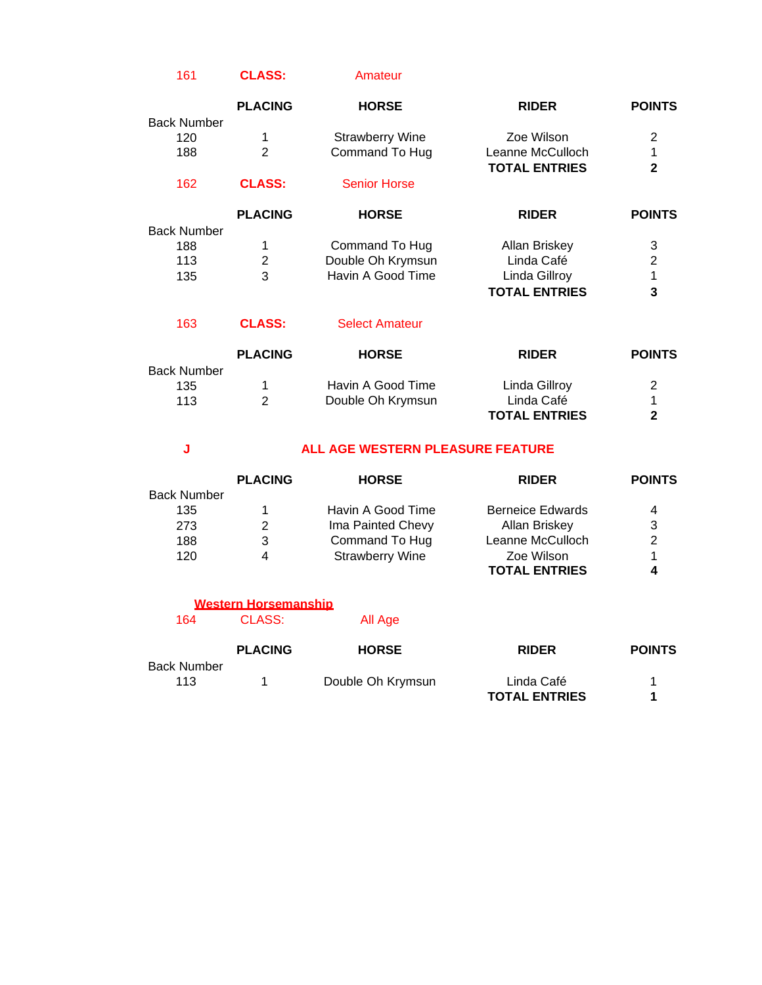#### 161 **CLASS:** Amateur

|             | <b>PLACING</b> | <b>HORSE</b>           | <b>RIDER</b>         | <b>POINTS</b>  |
|-------------|----------------|------------------------|----------------------|----------------|
| Back Number |                |                        |                      |                |
| 120         | 1              | <b>Strawberry Wine</b> | Zoe Wilson           | 2              |
| 188         | $\overline{2}$ | Command To Hug         | Leanne McCulloch     |                |
|             |                |                        | <b>TOTAL ENTRIES</b> | $\mathbf{c}$   |
| 162         | <b>CLASS:</b>  | <b>Senior Horse</b>    |                      |                |
|             | <b>PLACING</b> | <b>HORSE</b>           | <b>RIDER</b>         | <b>POINTS</b>  |
| Back Number |                |                        |                      |                |
| 188         | 1              | Command To Hug         | Allan Briskey        | 3              |
| 113         | $\overline{2}$ | Double Oh Krymsun      | Linda Café           | $\overline{2}$ |
| 135         | 3              | Havin A Good Time      | Linda Gillroy        |                |
|             |                |                        | <b>TOTAL ENTRIES</b> | 3              |
| 163         | <b>CLASS:</b>  | <b>Select Amateur</b>  |                      |                |
|             |                |                        |                      |                |

|                    | <b>PLACING</b> | <b>HORSE</b>      | <b>RIDER</b>         | <b>POINTS</b> |
|--------------------|----------------|-------------------|----------------------|---------------|
| <b>Back Number</b> |                |                   |                      |               |
| 135                |                | Havin A Good Time | Linda Gillroy        | 2             |
| 113                |                | Double Oh Krymsun | Linda Café           |               |
|                    |                |                   | <b>TOTAL ENTRIES</b> |               |

# **J ALL AGE WESTERN PLEASURE FEATURE**

|                    | <b>PLACING</b> | <b>HORSE</b>           | <b>RIDER</b>            | <b>POINTS</b> |
|--------------------|----------------|------------------------|-------------------------|---------------|
| <b>Back Number</b> |                |                        |                         |               |
| 135                |                | Havin A Good Time      | <b>Berneice Edwards</b> | 4             |
| 273                | 2              | Ima Painted Chevy      | Allan Briskey           | 3             |
| 188                | 3              | Command To Hug         | Leanne McCulloch        | 2             |
| 120                | 4              | <b>Strawberry Wine</b> | Zoe Wilson              |               |
|                    |                |                        | <b>TOTAL ENTRIES</b>    |               |

|                    | Western Horsemanship |                   |                                    |               |
|--------------------|----------------------|-------------------|------------------------------------|---------------|
| 164                | CLASS:               | All Age           |                                    |               |
|                    | <b>PLACING</b>       | <b>HORSE</b>      | <b>RIDER</b>                       | <b>POINTS</b> |
| Back Number<br>113 |                      | Double Oh Krymsun | Linda Café<br><b>TOTAL ENTRIES</b> | 4             |